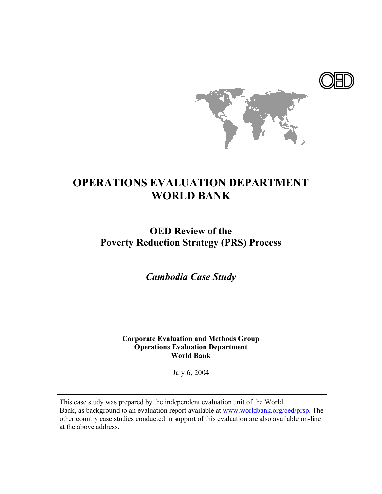

# **OPERATIONS EVALUATION DEPARTMENT WORLD BANK**

# **OED Review of the Poverty Reduction Strategy (PRS) Process**

*Cambodia Case Study* 

**Corporate Evaluation and Methods Group Operations Evaluation Department World Bank**

July 6, 2004

This case study was prepared by the independent evaluation unit of the World Bank, as background to an evaluation report available at www.worldbank.org/oed/prsp. The other country case studies conducted in support of this evaluation are also available on-line at the above address.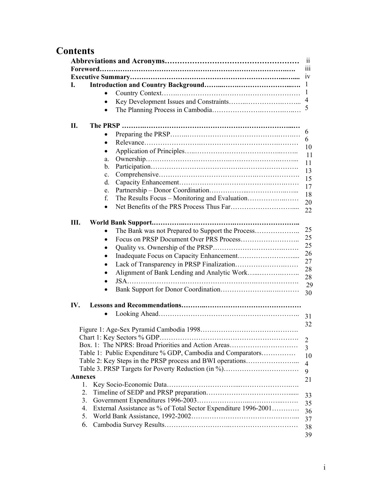# **Contents**

|                |                                                                | 11<br>111            |
|----------------|----------------------------------------------------------------|----------------------|
|                |                                                                | 1V                   |
| I.             |                                                                | 1                    |
|                | $\bullet$                                                      | 1                    |
|                | $\bullet$                                                      | 4                    |
|                | ٠                                                              | 5                    |
| П.             |                                                                |                      |
|                |                                                                | 6                    |
|                | $\bullet$                                                      | 6                    |
|                | ٠                                                              | 10                   |
|                | a.                                                             | 11                   |
|                | b.                                                             | 11                   |
|                | $\mathbf{c}$ .                                                 | 13                   |
|                | d.                                                             | 15                   |
|                | e.                                                             | 17                   |
|                | f.                                                             | 18                   |
|                | $\bullet$                                                      | 20                   |
|                |                                                                | 22                   |
| III.           |                                                                |                      |
|                | $\bullet$                                                      | 25                   |
|                | $\bullet$                                                      | 25                   |
|                | $\bullet$                                                      | 25                   |
|                | $\bullet$                                                      | 26                   |
|                | $\bullet$                                                      | 27                   |
|                | $\bullet$                                                      | 28                   |
|                | $\bullet$                                                      | 28                   |
|                |                                                                | 29<br>30             |
| IV.            |                                                                |                      |
|                | $\bullet$                                                      |                      |
|                |                                                                | 31                   |
|                |                                                                | 32                   |
|                |                                                                |                      |
|                | Box. 1: The NPRS: Broad Priorities and Action Areas            | 2                    |
|                | Table 1: Public Expenditure % GDP, Cambodia and Comparators    | 3                    |
|                | Table 2: Key Steps in the PRSP process and BWI operations      | 10                   |
|                | Table 3. PRSP Targets for Poverty Reduction (in %)             | $\overline{4}$       |
| <b>Annexes</b> |                                                                | 9                    |
| $\mathbf{1}$ . |                                                                | 21                   |
|                |                                                                |                      |
|                |                                                                | 33                   |
| 2.             |                                                                |                      |
| 3.             |                                                                |                      |
| 4.             | External Assistance as % of Total Sector Expenditure 1996-2001 |                      |
| 5.<br>6.       |                                                                | 35<br>36<br>37<br>38 |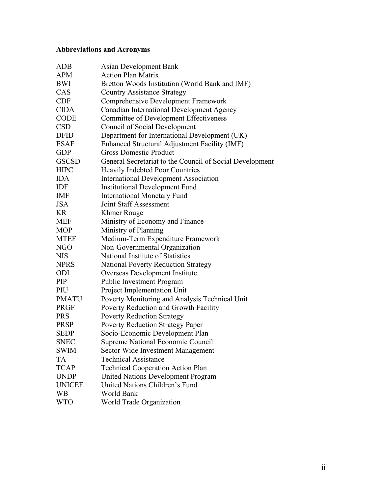# **Abbreviations and Acronyms**

| <b>ADB</b>    | Asian Development Bank                                   |
|---------------|----------------------------------------------------------|
| <b>APM</b>    | <b>Action Plan Matrix</b>                                |
| BWI           | Bretton Woods Institution (World Bank and IMF)           |
| CAS           | <b>Country Assistance Strategy</b>                       |
| <b>CDF</b>    | <b>Comprehensive Development Framework</b>               |
| <b>CIDA</b>   | Canadian International Development Agency                |
| <b>CODE</b>   | <b>Committee of Development Effectiveness</b>            |
| <b>CSD</b>    | Council of Social Development                            |
| <b>DFID</b>   | Department for International Development (UK)            |
| <b>ESAF</b>   | Enhanced Structural Adjustment Facility (IMF)            |
| <b>GDP</b>    | <b>Gross Domestic Product</b>                            |
| <b>GSCSD</b>  | General Secretariat to the Council of Social Development |
| <b>HIPC</b>   | <b>Heavily Indebted Poor Countries</b>                   |
| <b>IDA</b>    | <b>International Development Association</b>             |
| IDF           | <b>Institutional Development Fund</b>                    |
| <b>IMF</b>    | <b>International Monetary Fund</b>                       |
| <b>JSA</b>    | <b>Joint Staff Assessment</b>                            |
| <b>KR</b>     | Khmer Rouge                                              |
| <b>MEF</b>    | Ministry of Economy and Finance                          |
| <b>MOP</b>    | Ministry of Planning                                     |
| <b>MTEF</b>   | Medium-Term Expenditure Framework                        |
| <b>NGO</b>    | Non-Governmental Organization                            |
| <b>NIS</b>    | National Institute of Statistics                         |
| <b>NPRS</b>   | <b>National Poverty Reduction Strategy</b>               |
| ODI           | Overseas Development Institute                           |
| PIP           | <b>Public Investment Program</b>                         |
| PIU           | Project Implementation Unit                              |
| <b>PMATU</b>  | Poverty Monitoring and Analysis Technical Unit           |
| <b>PRGF</b>   | Poverty Reduction and Growth Facility                    |
| <b>PRS</b>    | <b>Poverty Reduction Strategy</b>                        |
| <b>PRSP</b>   | <b>Poverty Reduction Strategy Paper</b>                  |
| <b>SEDP</b>   | Socio-Economic Development Plan                          |
| SNEC          | Supreme National Economic Council                        |
| <b>SWIM</b>   | Sector Wide Investment Management                        |
| <b>TA</b>     | <b>Technical Assistance</b>                              |
| <b>TCAP</b>   | <b>Technical Cooperation Action Plan</b>                 |
| <b>UNDP</b>   | <b>United Nations Development Program</b>                |
| <b>UNICEF</b> | United Nations Children's Fund                           |
| <b>WB</b>     | World Bank                                               |
| <b>WTO</b>    | World Trade Organization                                 |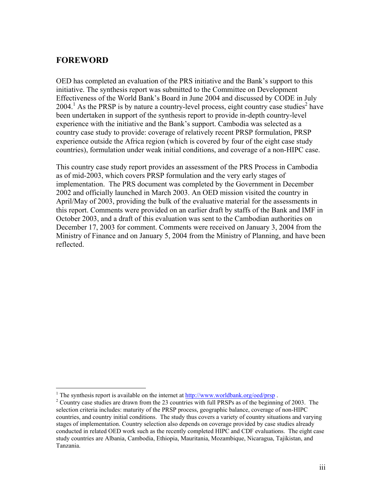# **FOREWORD**

1

OED has completed an evaluation of the PRS initiative and the Bank's support to this initiative. The synthesis report was submitted to the Committee on Development Effectiveness of the World Bank's Board in June 2004 and discussed by CODE in July  $2004$ <sup>1</sup> As the PRSP is by nature a country-level process, eight country case studies<sup>2</sup> have been undertaken in support of the synthesis report to provide in-depth country-level experience with the initiative and the Bank's support. Cambodia was selected as a country case study to provide: coverage of relatively recent PRSP formulation, PRSP experience outside the Africa region (which is covered by four of the eight case study countries), formulation under weak initial conditions, and coverage of a non-HIPC case.

This country case study report provides an assessment of the PRS Process in Cambodia as of mid-2003, which covers PRSP formulation and the very early stages of implementation. The PRS document was completed by the Government in December 2002 and officially launched in March 2003. An OED mission visited the country in April/May of 2003, providing the bulk of the evaluative material for the assessments in this report. Comments were provided on an earlier draft by staffs of the Bank and IMF in October 2003, and a draft of this evaluation was sent to the Cambodian authorities on December 17, 2003 for comment. Comments were received on January 3, 2004 from the Ministry of Finance and on January 5, 2004 from the Ministry of Planning, and have been reflected.

<sup>&</sup>lt;sup>1</sup> The synthesis report is available on the internet at  $\frac{http://www.worldbank.org/oed/prsp}{http://www.worldbank.org/oed/prsp}$ .

<sup>&</sup>lt;sup>2</sup> Country case studies are drawn from the 23 countries with full PRSPs as of the beginning of 2003. The selection criteria includes: maturity of the PRSP process, geographic balance, coverage of non-HIPC countries, and country initial conditions. The study thus covers a variety of country situations and varying stages of implementation. Country selection also depends on coverage provided by case studies already conducted in related OED work such as the recently completed HIPC and CDF evaluations. The eight case study countries are Albania, Cambodia, Ethiopia, Mauritania, Mozambique, Nicaragua, Tajikistan, and Tanzania.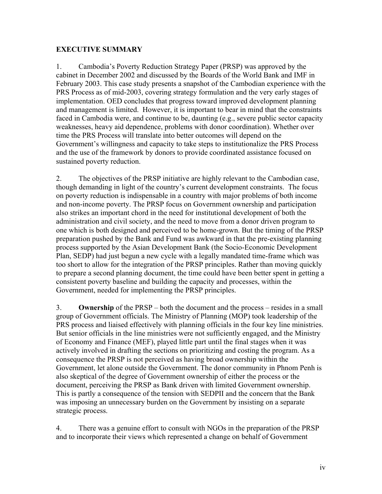## **EXECUTIVE SUMMARY**

1. Cambodia's Poverty Reduction Strategy Paper (PRSP) was approved by the cabinet in December 2002 and discussed by the Boards of the World Bank and IMF in February 2003. This case study presents a snapshot of the Cambodian experience with the PRS Process as of mid-2003, covering strategy formulation and the very early stages of implementation. OED concludes that progress toward improved development planning and management is limited. However, it is important to bear in mind that the constraints faced in Cambodia were, and continue to be, daunting (e.g., severe public sector capacity weaknesses, heavy aid dependence, problems with donor coordination). Whether over time the PRS Process will translate into better outcomes will depend on the Government's willingness and capacity to take steps to institutionalize the PRS Process and the use of the framework by donors to provide coordinated assistance focused on sustained poverty reduction.

2. The objectives of the PRSP initiative are highly relevant to the Cambodian case, though demanding in light of the country's current development constraints. The focus on poverty reduction is indispensable in a country with major problems of both income and non-income poverty. The PRSP focus on Government ownership and participation also strikes an important chord in the need for institutional development of both the administration and civil society, and the need to move from a donor driven program to one which is both designed and perceived to be home-grown. But the timing of the PRSP preparation pushed by the Bank and Fund was awkward in that the pre-existing planning process supported by the Asian Development Bank (the Socio-Economic Development Plan, SEDP) had just begun a new cycle with a legally mandated time-frame which was too short to allow for the integration of the PRSP principles. Rather than moving quickly to prepare a second planning document, the time could have been better spent in getting a consistent poverty baseline and building the capacity and processes, within the Government, needed for implementing the PRSP principles.

3. **Ownership** of the PRSP – both the document and the process – resides in a small group of Government officials. The Ministry of Planning (MOP) took leadership of the PRS process and liaised effectively with planning officials in the four key line ministries. But senior officials in the line ministries were not sufficiently engaged, and the Ministry of Economy and Finance (MEF), played little part until the final stages when it was actively involved in drafting the sections on prioritizing and costing the program. As a consequence the PRSP is not perceived as having broad ownership within the Government, let alone outside the Government. The donor community in Phnom Penh is also skeptical of the degree of Government ownership of either the process or the document, perceiving the PRSP as Bank driven with limited Government ownership. This is partly a consequence of the tension with SEDPII and the concern that the Bank was imposing an unnecessary burden on the Government by insisting on a separate strategic process.

4. There was a genuine effort to consult with NGOs in the preparation of the PRSP and to incorporate their views which represented a change on behalf of Government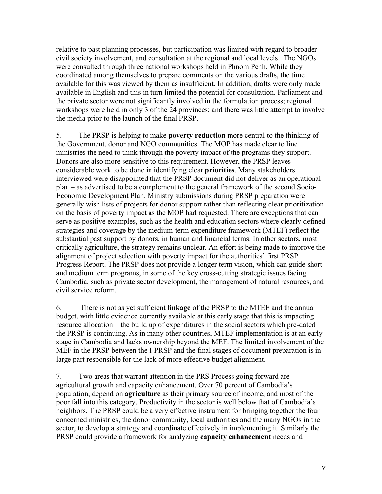relative to past planning processes, but participation was limited with regard to broader civil society involvement, and consultation at the regional and local levels.The NGOs were consulted through three national workshops held in Phnom Penh. While they coordinated among themselves to prepare comments on the various drafts, the time available for this was viewed by them as insufficient. In addition, drafts were only made available in English and this in turn limited the potential for consultation. Parliament and the private sector were not significantly involved in the formulation process; regional workshops were held in only 3 of the 24 provinces; and there was little attempt to involve the media prior to the launch of the final PRSP.

5. The PRSP is helping to make **poverty reduction** more central to the thinking of the Government, donor and NGO communities. The MOP has made clear to line ministries the need to think through the poverty impact of the programs they support. Donors are also more sensitive to this requirement. However, the PRSP leaves considerable work to be done in identifying clear **priorities**. Many stakeholders interviewed were disappointed that the PRSP document did not deliver as an operational plan – as advertised to be a complement to the general framework of the second Socio-Economic Development Plan. Ministry submissions during PRSP preparation were generally wish lists of projects for donor support rather than reflecting clear prioritization on the basis of poverty impact as the MOP had requested. There are exceptions that can serve as positive examples, such as the health and education sectors where clearly defined strategies and coverage by the medium-term expenditure framework (MTEF) reflect the substantial past support by donors, in human and financial terms. In other sectors, most critically agriculture, the strategy remains unclear. An effort is being made to improve the alignment of project selection with poverty impact for the authorities' first PRSP Progress Report. The PRSP does not provide a longer term vision, which can guide short and medium term programs, in some of the key cross-cutting strategic issues facing Cambodia, such as private sector development, the management of natural resources, and civil service reform.

6. There is not as yet sufficient **linkage** of the PRSP to the MTEF and the annual budget, with little evidence currently available at this early stage that this is impacting resource allocation – the build up of expenditures in the social sectors which pre-dated the PRSP is continuing. As in many other countries, MTEF implementation is at an early stage in Cambodia and lacks ownership beyond the MEF. The limited involvement of the MEF in the PRSP between the I-PRSP and the final stages of document preparation is in large part responsible for the lack of more effective budget alignment.

7. Two areas that warrant attention in the PRS Process going forward are agricultural growth and capacity enhancement. Over 70 percent of Cambodia's population, depend on **agriculture** as their primary source of income, and most of the poor fall into this category. Productivity in the sector is well below that of Cambodia's neighbors. The PRSP could be a very effective instrument for bringing together the four concerned ministries, the donor community, local authorities and the many NGOs in the sector, to develop a strategy and coordinate effectively in implementing it. Similarly the PRSP could provide a framework for analyzing **capacity enhancement** needs and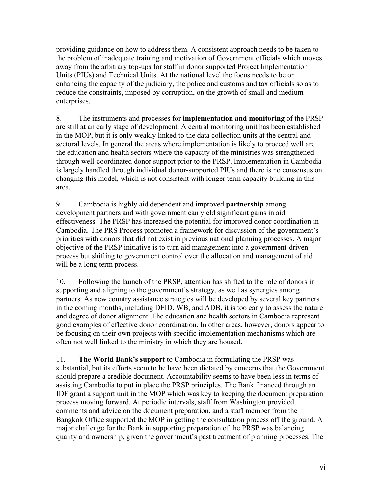providing guidance on how to address them. A consistent approach needs to be taken to the problem of inadequate training and motivation of Government officials which moves away from the arbitrary top-ups for staff in donor supported Project Implementation Units (PIUs) and Technical Units. At the national level the focus needs to be on enhancing the capacity of the judiciary, the police and customs and tax officials so as to reduce the constraints, imposed by corruption, on the growth of small and medium enterprises.

8. The instruments and processes for **implementation and monitoring** of the PRSP are still at an early stage of development. A central monitoring unit has been established in the MOP, but it is only weakly linked to the data collection units at the central and sectoral levels. In general the areas where implementation is likely to proceed well are the education and health sectors where the capacity of the ministries was strengthened through well-coordinated donor support prior to the PRSP. Implementation in Cambodia is largely handled through individual donor-supported PIUs and there is no consensus on changing this model, which is not consistent with longer term capacity building in this area.

9. Cambodia is highly aid dependent and improved **partnership** among development partners and with government can yield significant gains in aid effectiveness. The PRSP has increased the potential for improved donor coordination in Cambodia. The PRS Process promoted a framework for discussion of the government's priorities with donors that did not exist in previous national planning processes. A major objective of the PRSP initiative is to turn aid management into a government-driven process but shifting to government control over the allocation and management of aid will be a long term process.

10. Following the launch of the PRSP, attention has shifted to the role of donors in supporting and aligning to the government's strategy, as well as synergies among partners. As new country assistance strategies will be developed by several key partners in the coming months, including DFID, WB, and ADB, it is too early to assess the nature and degree of donor alignment. The education and health sectors in Cambodia represent good examples of effective donor coordination. In other areas, however, donors appear to be focusing on their own projects with specific implementation mechanisms which are often not well linked to the ministry in which they are housed.

11. **The World Bank's support** to Cambodia in formulating the PRSP was substantial, but its efforts seem to be have been dictated by concerns that the Government should prepare a credible document. Accountability seems to have been less in terms of assisting Cambodia to put in place the PRSP principles. The Bank financed through an IDF grant a support unit in the MOP which was key to keeping the document preparation process moving forward. At periodic intervals, staff from Washington provided comments and advice on the document preparation, and a staff member from the Bangkok Office supported the MOP in getting the consultation process off the ground. A major challenge for the Bank in supporting preparation of the PRSP was balancing quality and ownership, given the government's past treatment of planning processes. The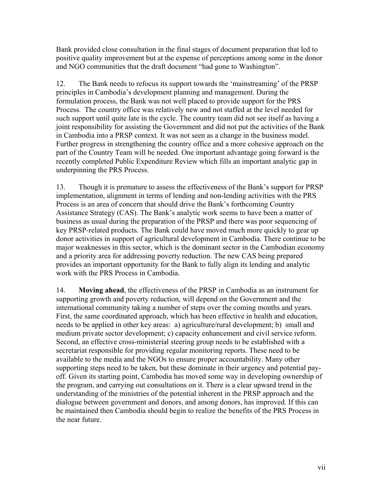Bank provided close consultation in the final stages of document preparation that led to positive quality improvement but at the expense of perceptions among some in the donor and NGO communities that the draft document "had gone to Washington".

12.The Bank needs to refocus its support towards the 'mainstreaming' of the PRSP principles in Cambodia's development planning and management. During the formulation process, the Bank was not well placed to provide support for the PRS Process. The country office was relatively new and not staffed at the level needed for such support until quite late in the cycle. The country team did not see itself as having a joint responsibility for assisting the Government and did not put the activities of the Bank in Cambodia into a PRSP context. It was not seen as a change in the business model. Further progress in strengthening the country office and a more cohesive approach on the part of the Country Team will be needed. One important advantage going forward is the recently completed Public Expenditure Review which fills an important analytic gap in underpinning the PRS Process.

13. Though it is premature to assess the effectiveness of the Bank's support for PRSP implementation, alignment in terms of lending and non-lending activities with the PRS Process is an area of concern that should drive the Bank's forthcoming Country Assistance Strategy (CAS). The Bank's analytic work seems to have been a matter of business as usual during the preparation of the PRSP and there was poor sequencing of key PRSP-related products. The Bank could have moved much more quickly to gear up donor activities in support of agricultural development in Cambodia. There continue to be major weaknesses in this sector, which is the dominant sector in the Cambodian economy and a priority area for addressing poverty reduction. The new CAS being prepared provides an important opportunity for the Bank to fully align its lending and analytic work with the PRS Process in Cambodia.

14. **Moving ahead**, the effectiveness of the PRSP in Cambodia as an instrument for supporting growth and poverty reduction, will depend on the Government and the international community taking a number of steps over the coming months and years. First, the same coordinated approach, which has been effective in health and education, needs to be applied in other key areas: a) agriculture/rural development; b) small and medium private sector development; c) capacity enhancement and civil service reform. Second, an effective cross-ministerial steering group needs to be established with a secretariat responsible for providing regular monitoring reports. These need to be available to the media and the NGOs to ensure proper accountability. Many other supporting steps need to be taken, but these dominate in their urgency and potential payoff. Given its starting point, Cambodia has moved some way in developing ownership of the program, and carrying out consultations on it. There is a clear upward trend in the understanding of the ministries of the potential inherent in the PRSP approach and the dialogue between government and donors, and among donors, has improved. If this can be maintained then Cambodia should begin to realize the benefits of the PRS Process in the near future.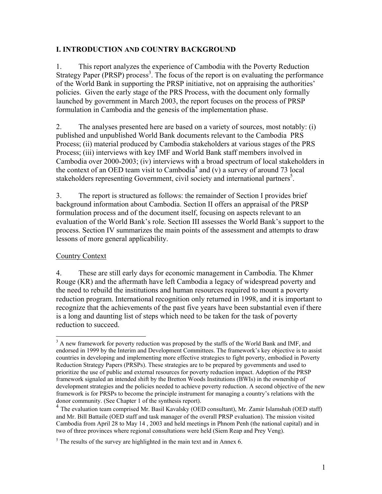## **I. INTRODUCTION AND COUNTRY BACKGROUND**

1. This report analyzes the experience of Cambodia with the Poverty Reduction Strategy Paper (PRSP) process<sup>3</sup>. The focus of the report is on evaluating the performance of the World Bank in supporting the PRSP initiative, not on appraising the authorities' policies. Given the early stage of the PRS Process, with the document only formally launched by government in March 2003, the report focuses on the process of PRSP formulation in Cambodia and the genesis of the implementation phase.

2. The analyses presented here are based on a variety of sources, most notably: (i) published and unpublished World Bank documents relevant to the Cambodia PRS Process; (ii) material produced by Cambodia stakeholders at various stages of the PRS Process; (iii) interviews with key IMF and World Bank staff members involved in Cambodia over 2000-2003; (iv) interviews with a broad spectrum of local stakeholders in the context of an OED team visit to Cambodia<sup>4</sup> and (v) a survey of around 73 local stakeholders representing Government, civil society and international partners<sup>5</sup>.

3. The report is structured as follows: the remainder of Section I provides brief background information about Cambodia. Section II offers an appraisal of the PRSP formulation process and of the document itself, focusing on aspects relevant to an evaluation of the World Bank's role. Section III assesses the World Bank's support to the process. Section IV summarizes the main points of the assessment and attempts to draw lessons of more general applicability.

# Country Context

 $\overline{a}$ 

4. These are still early days for economic management in Cambodia. The Khmer Rouge (KR) and the aftermath have left Cambodia a legacy of widespread poverty and the need to rebuild the institutions and human resources required to mount a poverty reduction program. International recognition only returned in 1998, and it is important to recognize that the achievements of the past five years have been substantial even if there is a long and daunting list of steps which need to be taken for the task of poverty reduction to succeed.

 $3$  A new framework for poverty reduction was proposed by the staffs of the World Bank and IMF, and endorsed in 1999 by the Interim and Development Committees. The framework's key objective is to assist countries in developing and implementing more effective strategies to fight poverty, embodied in Poverty Reduction Strategy Papers (PRSPs). These strategies are to be prepared by governments and used to prioritize the use of public and external resources for poverty reduction impact. Adoption of the PRSP framework signaled an intended shift by the Bretton Woods Institutions (BWIs) in the ownership of development strategies and the policies needed to achieve poverty reduction. A second objective of the new framework is for PRSPs to become the principle instrument for managing a country's relations with the donor community. (See Chapter 1 of the synthesis report).

<sup>4</sup> The evaluation team comprised Mr. Basil Kavalsky (OED consultant), Mr. Zamir Islamshah (OED staff) and Mr. Bill Battaile (OED staff and task manager of the overall PRSP evaluation). The mission visited Cambodia from April 28 to May 14 , 2003 and held meetings in Phnom Penh (the national capital) and in two of three provinces where regional consultations were held (Siem Reap and Prey Veng).

 $<sup>5</sup>$  The results of the survey are highlighted in the main text and in Annex 6.</sup>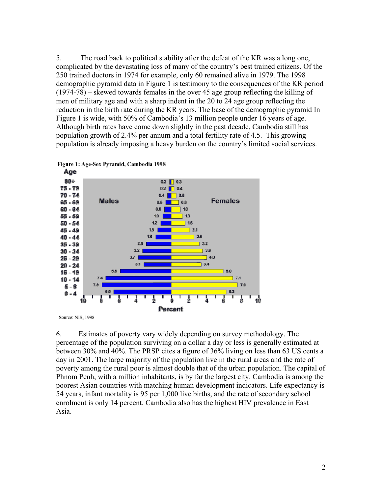5. The road back to political stability after the defeat of the KR was a long one, complicated by the devastating loss of many of the country's best trained citizens. Of the 250 trained doctors in 1974 for example, only 60 remained alive in 1979. The 1998 demographic pyramid data in Figure 1 is testimony to the consequences of the KR period (1974-78) – skewed towards females in the over 45 age group reflecting the killing of men of military age and with a sharp indent in the 20 to 24 age group reflecting the reduction in the birth rate during the KR years. The base of the demographic pyramid In Figure 1 is wide, with 50% of Cambodia's 13 million people under 16 years of age. Although birth rates have come down slightly in the past decade, Cambodia still has population growth of 2.4% per annum and a total fertility rate of 4.5. This growing population is already imposing a heavy burden on the country's limited social services.





Source: NIS, 1998

6. Estimates of poverty vary widely depending on survey methodology. The percentage of the population surviving on a dollar a day or less is generally estimated at between 30% and 40%. The PRSP cites a figure of 36% living on less than 63 US cents a day in 2001. The large majority of the population live in the rural areas and the rate of poverty among the rural poor is almost double that of the urban population. The capital of Phnom Penh, with a million inhabitants, is by far the largest city. Cambodia is among the poorest Asian countries with matching human development indicators. Life expectancy is 54 years, infant mortality is 95 per 1,000 live births, and the rate of secondary school enrolment is only 14 percent. Cambodia also has the highest HIV prevalence in East Asia.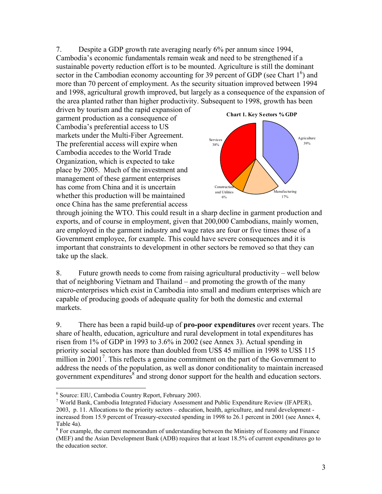7. Despite a GDP growth rate averaging nearly 6% per annum since 1994, Cambodia's economic fundamentals remain weak and need to be strengthened if a sustainable poverty reduction effort is to be mounted. Agriculture is still the dominant sector in the Cambodian economy accounting for 39 percent of GDP (see Chart  $1<sup>6</sup>$ ) and more than 70 percent of employment. As the security situation improved between 1994 and 1998, agricultural growth improved, but largely as a consequence of the expansion of the area planted rather than higher productivity. Subsequent to 1998, growth has been

driven by tourism and the rapid expansion of garment production as a consequence of Cambodia's preferential access to US markets under the Multi-Fiber Agreement. The preferential access will expire when Cambodia accedes to the World Trade Organization, which is expected to take place by 2005. Much of the investment and management of these garment enterprises has come from China and it is uncertain whether this production will be maintained once China has the same preferential access



through joining the WTO. This could result in a sharp decline in garment production and exports, and of course in employment, given that 200,000 Cambodians, mainly women, are employed in the garment industry and wage rates are four or five times those of a Government employee, for example. This could have severe consequences and it is important that constraints to development in other sectors be removed so that they can take up the slack.

8. Future growth needs to come from raising agricultural productivity – well below that of neighboring Vietnam and Thailand – and promoting the growth of the many micro-enterprises which exist in Cambodia into small and medium enterprises which are capable of producing goods of adequate quality for both the domestic and external markets.

9. There has been a rapid build-up of **pro-poor expenditures** over recent years. The share of health, education, agriculture and rural development in total expenditures has risen from 1% of GDP in 1993 to 3.6% in 2002 (see Annex 3). Actual spending in priority social sectors has more than doubled from US\$ 45 million in 1998 to US\$ 115 million in  $2001<sup>7</sup>$ . This reflects a genuine commitment on the part of the Government to address the needs of the population, as well as donor conditionality to maintain increased government expenditures $\overline{s}$  and strong donor support for the health and education sectors.

 $\overline{a}$ 

<sup>6</sup> Source: EIU, Cambodia Country Report, February 2003.

<sup>&</sup>lt;sup>7</sup> World Bank, Cambodia Integrated Fiduciary Assessment and Public Expenditure Review (IFAPER), 2003, p. 11. Allocations to the priority sectors – education, health, agriculture, and rural development increased from 15.9 percent of Treasury-executed spending in 1998 to 26.1 percent in 2001 (see Annex 4, Table 4a).

 $8$  For example, the current memorandum of understanding between the Ministry of Economy and Finance (MEF) and the Asian Development Bank (ADB) requires that at least 18.5% of current expenditures go to the education sector.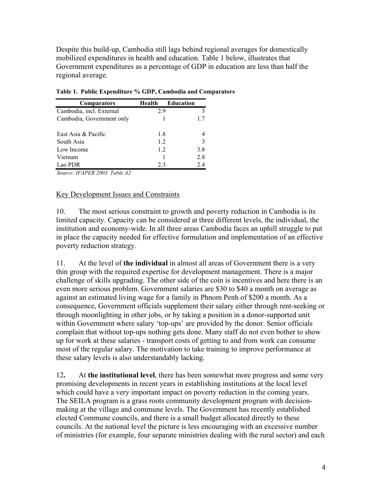Despite this build-up, Cambodia still lags behind regional averages for domestically mobilized expenditures in health and education. Table 1 below, illustrates that Government expenditures as a percentage of GDP in education are less than half the regional average.

| <b>Comparators</b>        | Health | <b>Education</b> |
|---------------------------|--------|------------------|
| Cambodia, incl. External  | 2.9    | 3                |
| Cambodia, Government only |        | 17               |
| East Asia & Pacific       | 1.8    |                  |
| South Asia                | 12     | 3                |
| Low Income                | 12     | 3.8              |
| Vietnam                   |        | 2.8              |
| Lao PDR                   | 23     | 24               |

**Table 1. Public Expenditure % GDP, Cambodia and Comparators** 

*Source: IFAPER 2003 Table A2* 

#### Key Development Issues and Constraints

10. The most serious constraint to growth and poverty reduction in Cambodia is its limited capacity. Capacity can be considered at three different levels, the individual, the institution and economy-wide. In all three areas Cambodia faces an uphill struggle to put in place the capacity needed for effective formulation and implementation of an effective poverty reduction strategy.

11. At the level of **the individual** in almost all areas of Government there is a very thin group with the required expertise for development management. There is a major challenge of skills upgrading. The other side of the coin is incentives and here there is an even more serious problem. Government salaries are \$30 to \$40 a month on average as against an estimated living wage for a family in Phnom Penh of \$200 a month. As a consequence, Government officials supplement their salary either through rent-seeking or through moonlighting in other jobs, or by taking a position in a donor-supported unit within Government where salary 'top-ups' are provided by the donor. Senior officials complain that without top-ups nothing gets done. Many staff do not even bother to show up for work at these salaries - transport costs of getting to and from work can consume most of the regular salary. The motivation to take training to improve performance at these salary levels is also understandably lacking.

12**.** At **the institutional level**, there has been somewhat more progress and some very promising developments in recent years in establishing institutions at the local level which could have a very important impact on poverty reduction in the coming years. The SEILA program is a grass roots community development program with decisionmaking at the village and commune levels. The Government has recently established elected Commune councils, and there is a small budget allocated directly to these councils. At the national level the picture is less encouraging with an excessive number of ministries (for example, four separate ministries dealing with the rural sector) and each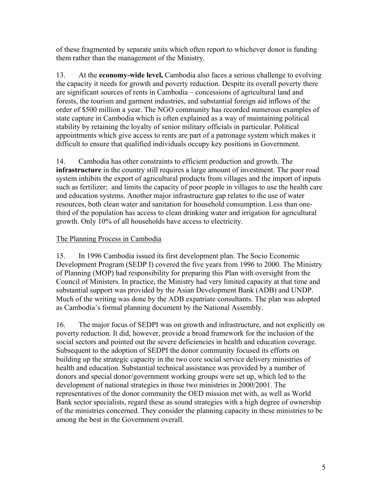of these fragmented by separate units which often report to whichever donor is funding them rather than the management of the Ministry.

13. At the **economy-wide level,** Cambodia also faces a serious challenge to evolving the capacity it needs for growth and poverty reduction. Despite its overall poverty there are significant sources of rents in Cambodia – concessions of agricultural land and forests, the tourism and garment industries, and substantial foreign aid inflows of the order of \$500 million a year. The NGO community has recorded numerous examples of state capture in Cambodia which is often explained as a way of maintaining political stability by retaining the loyalty of senior military officials in particular. Political appointments which give access to rents are part of a patronage system which makes it difficult to ensure that qualified individuals occupy key positions in Government.

14. Cambodia has other constraints to efficient production and growth. The **infrastructure** in the country still requires a large amount of investment. The poor road system inhibits the export of agricultural products from villages and the import of inputs such as fertilizer; and limits the capacity of poor people in villages to use the health care and education systems. Another major infrastructure gap relates to the use of water resources, both clean water and sanitation for household consumption. Less than onethird of the population has access to clean drinking water and irrigation for agricultural growth. Only 10% of all households have access to electricity.

## The Planning Process in Cambodia

15. In 1996 Cambodia issued its first development plan. The Socio Economic Development Program (SEDP I) covered the five years from 1996 to 2000. The Ministry of Planning (MOP) had responsibility for preparing this Plan with oversight from the Council of Ministers. In practice, the Ministry had very limited capacity at that time and substantial support was provided by the Asian Development Bank (ADB) and UNDP. Much of the writing was done by the ADB expatriate consultants. The plan was adopted as Cambodia's formal planning document by the National Assembly.

16. The major focus of SEDPI was on growth and infrastructure, and not explicitly on poverty reduction. It did, however, provide a broad framework for the inclusion of the social sectors and pointed out the severe deficiencies in health and education coverage. Subsequent to the adoption of SEDPI the donor community focused its efforts on building up the strategic capacity in the two core social service delivery ministries of health and education. Substantial technical assistance was provided by a number of donors and special donor/government working groups were set up, which led to the development of national strategies in those two ministries in 2000/2001. The representatives of the donor community the OED mission met with, as well as World Bank sector specialists, regard these as sound strategies with a high degree of ownership of the ministries concerned. They consider the planning capacity in these ministries to be among the best in the Government overall.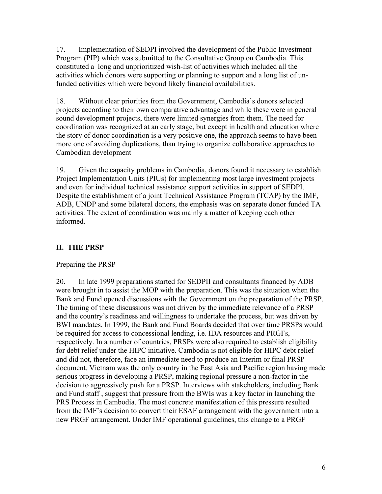17. Implementation of SEDPI involved the development of the Public Investment Program (PIP) which was submitted to the Consultative Group on Cambodia. This constituted a long and unprioritized wish-list of activities which included all the activities which donors were supporting or planning to support and a long list of unfunded activities which were beyond likely financial availabilities.

18. Without clear priorities from the Government, Cambodia's donors selected projects according to their own comparative advantage and while these were in general sound development projects, there were limited synergies from them. The need for coordination was recognized at an early stage, but except in health and education where the story of donor coordination is a very positive one, the approach seems to have been more one of avoiding duplications, than trying to organize collaborative approaches to Cambodian development

19. Given the capacity problems in Cambodia, donors found it necessary to establish Project Implementation Units (PIUs) for implementing most large investment projects and even for individual technical assistance support activities in support of SEDPI. Despite the establishment of a joint Technical Assistance Program (TCAP) by the IMF, ADB, UNDP and some bilateral donors, the emphasis was on separate donor funded TA activities. The extent of coordination was mainly a matter of keeping each other informed.

# **II. THE PRSP**

## Preparing the PRSP

20. In late 1999 preparations started for SEDPII and consultants financed by ADB were brought in to assist the MOP with the preparation. This was the situation when the Bank and Fund opened discussions with the Government on the preparation of the PRSP. The timing of these discussions was not driven by the immediate relevance of a PRSP and the country's readiness and willingness to undertake the process, but was driven by BWI mandates. In 1999, the Bank and Fund Boards decided that over time PRSPs would be required for access to concessional lending, i.e. IDA resources and PRGFs, respectively. In a number of countries, PRSPs were also required to establish eligibility for debt relief under the HIPC initiative. Cambodia is not eligible for HIPC debt relief and did not, therefore, face an immediate need to produce an Interim or final PRSP document. Vietnam was the only country in the East Asia and Pacific region having made serious progress in developing a PRSP, making regional pressure a non-factor in the decision to aggressively push for a PRSP. Interviews with stakeholders, including Bank and Fund staff , suggest that pressure from the BWIs was a key factor in launching the PRS Process in Cambodia. The most concrete manifestation of this pressure resulted from the IMF's decision to convert their ESAF arrangement with the government into a new PRGF arrangement. Under IMF operational guidelines, this change to a PRGF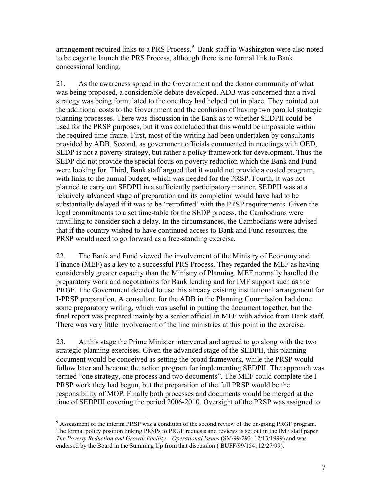arrangement required links to a PRS Process.<sup>9</sup> Bank staff in Washington were also noted to be eager to launch the PRS Process, although there is no formal link to Bank concessional lending.

21. As the awareness spread in the Government and the donor community of what was being proposed, a considerable debate developed. ADB was concerned that a rival strategy was being formulated to the one they had helped put in place. They pointed out the additional costs to the Government and the confusion of having two parallel strategic planning processes. There was discussion in the Bank as to whether SEDPII could be used for the PRSP purposes, but it was concluded that this would be impossible within the required time-frame. First, most of the writing had been undertaken by consultants provided by ADB. Second, as government officials commented in meetings with OED, SEDP is not a poverty strategy, but rather a policy framework for development. Thus the SEDP did not provide the special focus on poverty reduction which the Bank and Fund were looking for. Third, Bank staff argued that it would not provide a costed program, with links to the annual budget, which was needed for the PRSP. Fourth, it was not planned to carry out SEDPII in a sufficiently participatory manner. SEDPII was at a relatively advanced stage of preparation and its completion would have had to be substantially delayed if it was to be 'retrofitted' with the PRSP requirements. Given the legal commitments to a set time-table for the SEDP process, the Cambodians were unwilling to consider such a delay. In the circumstances, the Cambodians were advised that if the country wished to have continued access to Bank and Fund resources, the PRSP would need to go forward as a free-standing exercise.

22. The Bank and Fund viewed the involvement of the Ministry of Economy and Finance (MEF) as a key to a successful PRS Process. They regarded the MEF as having considerably greater capacity than the Ministry of Planning. MEF normally handled the preparatory work and negotiations for Bank lending and for IMF support such as the PRGF. The Government decided to use this already existing institutional arrangement for I-PRSP preparation. A consultant for the ADB in the Planning Commission had done some preparatory writing, which was useful in putting the document together, but the final report was prepared mainly by a senior official in MEF with advice from Bank staff. There was very little involvement of the line ministries at this point in the exercise.

23. At this stage the Prime Minister intervened and agreed to go along with the two strategic planning exercises. Given the advanced stage of the SEDPII, this planning document would be conceived as setting the broad framework, while the PRSP would follow later and become the action program for implementing SEDPII. The approach was termed "one strategy, one process and two documents". The MEF could complete the I-PRSP work they had begun, but the preparation of the full PRSP would be the responsibility of MOP. Finally both processes and documents would be merged at the time of SEDPIII covering the period 2006-2010. Oversight of the PRSP was assigned to

 $\overline{a}$  $9$  Assessment of the interim PRSP was a condition of the second review of the on-going PRGF program. The formal policy position linking PRSPs to PRGF requests and reviews is set out in the IMF staff paper *The Poverty Reduction and Growth Facility – Operational Issues* (SM/99/293; 12/13/1999) and was endorsed by the Board in the Summing Up from that discussion ( BUFF/99/154; 12/27/99).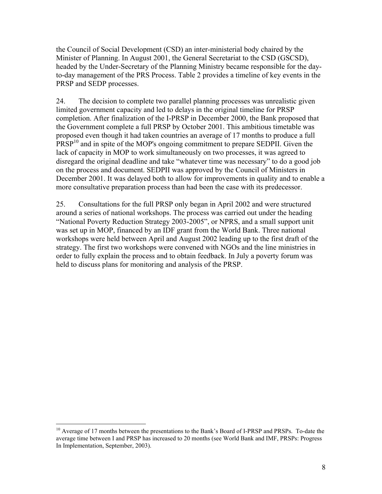the Council of Social Development (CSD) an inter-ministerial body chaired by the Minister of Planning. In August 2001, the General Secretariat to the CSD (GSCSD), headed by the Under-Secretary of the Planning Ministry became responsible for the dayto-day management of the PRS Process. Table 2 provides a timeline of key events in the PRSP and SEDP processes.

24. The decision to complete two parallel planning processes was unrealistic given limited government capacity and led to delays in the original timeline for PRSP completion. After finalization of the I-PRSP in December 2000, the Bank proposed that the Government complete a full PRSP by October 2001. This ambitious timetable was proposed even though it had taken countries an average of 17 months to produce a full PRSP<sup>10</sup> and in spite of the MOP's ongoing commitment to prepare SEDPII. Given the lack of capacity in MOP to work simultaneously on two processes, it was agreed to disregard the original deadline and take "whatever time was necessary" to do a good job on the process and document. SEDPII was approved by the Council of Ministers in December 2001. It was delayed both to allow for improvements in quality and to enable a more consultative preparation process than had been the case with its predecessor.

25. Consultations for the full PRSP only began in April 2002 and were structured around a series of national workshops. The process was carried out under the heading "National Poverty Reduction Strategy 2003-2005", or NPRS, and a small support unit was set up in MOP, financed by an IDF grant from the World Bank. Three national workshops were held between April and August 2002 leading up to the first draft of the strategy. The first two workshops were convened with NGOs and the line ministries in order to fully explain the process and to obtain feedback. In July a poverty forum was held to discuss plans for monitoring and analysis of the PRSP.

1

<sup>&</sup>lt;sup>10</sup> Average of 17 months between the presentations to the Bank's Board of I-PRSP and PRSPs. To-date the average time between I and PRSP has increased to 20 months (see World Bank and IMF, PRSPs: Progress In Implementation, September, 2003).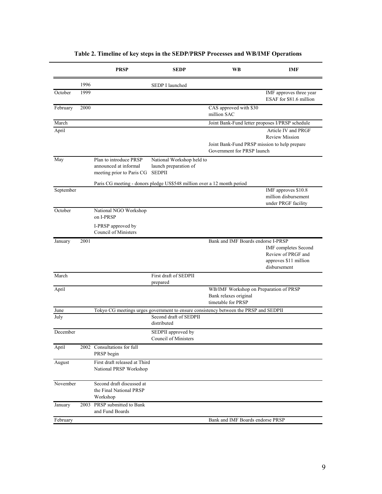|           |      | <b>PRSP</b>                                                                          | <b>SEDP</b>                                                         | <b>WB</b>                                                                             | IMF                                                                                        |
|-----------|------|--------------------------------------------------------------------------------------|---------------------------------------------------------------------|---------------------------------------------------------------------------------------|--------------------------------------------------------------------------------------------|
|           | 1996 |                                                                                      | SEDP I launched                                                     |                                                                                       |                                                                                            |
| October   | 1999 |                                                                                      |                                                                     |                                                                                       | IMF approves three year<br>ESAF for \$81.6 million                                         |
| February  | 2000 |                                                                                      |                                                                     | CAS approved with \$30<br>million SAC                                                 |                                                                                            |
| March     |      |                                                                                      |                                                                     | Joint Bank-Fund letter proposes I/PRSP schedule                                       |                                                                                            |
| April     |      |                                                                                      |                                                                     |                                                                                       | Article IV and PRGF<br><b>Review Mission</b>                                               |
|           |      |                                                                                      |                                                                     | Joint Bank-Fund PRSP mission to help prepare<br>Government for PRSP launch            |                                                                                            |
| May       |      | Plan to introduce PRSP<br>announced at informal<br>meeting prior to Paris CG         | National Workshop held to<br>launch preparation of<br><b>SEDPII</b> |                                                                                       |                                                                                            |
|           |      | Paris CG meeting - donors pledge US\$548 million over a 12 month period              |                                                                     |                                                                                       |                                                                                            |
| September |      |                                                                                      |                                                                     |                                                                                       | IMF approves \$10.8<br>million disbursement<br>under PRGF facility                         |
| October   |      | National NGO Workshop<br>on I-PRSP                                                   |                                                                     |                                                                                       |                                                                                            |
|           |      | I-PRSP approved by<br>Council of Ministers                                           |                                                                     |                                                                                       |                                                                                            |
| January   | 2001 |                                                                                      |                                                                     | Bank and IMF Boards endorse I-PRSP                                                    | <b>IMF</b> completes Second<br>Review of PRGF and<br>approves \$11 million<br>disbursement |
| March     |      |                                                                                      | First draft of SEDPII<br>prepared                                   |                                                                                       |                                                                                            |
| April     |      |                                                                                      |                                                                     | WB/IMF Workshop on Preparation of PRSP<br>Bank relaxes original<br>timetable for PRSP |                                                                                            |
| June      |      | Tokyo CG meetings urges government to ensure consistency between the PRSP and SEDPII |                                                                     |                                                                                       |                                                                                            |
| July      |      |                                                                                      | Second draft of SEDPII<br>distributed                               |                                                                                       |                                                                                            |
| December  |      |                                                                                      | SEDPII approved by<br>Council of Ministers                          |                                                                                       |                                                                                            |
| April     |      | 2002 Consultations for full<br>PRSP begin                                            |                                                                     |                                                                                       |                                                                                            |
| August    |      | First draft released at Third<br>National PRSP Workshop                              |                                                                     |                                                                                       |                                                                                            |
| November  |      | Second draft discussed at<br>the Final National PRSP<br>Workshop                     |                                                                     |                                                                                       |                                                                                            |
| January   |      | 2003 PRSP submitted to Bank<br>and Fund Boards                                       |                                                                     |                                                                                       |                                                                                            |
| February  |      |                                                                                      |                                                                     | Bank and IMF Boards endorse PRSP                                                      |                                                                                            |

# **Table 2. Timeline of key steps in the SEDP/PRSP Processes and WB/IMF Operations**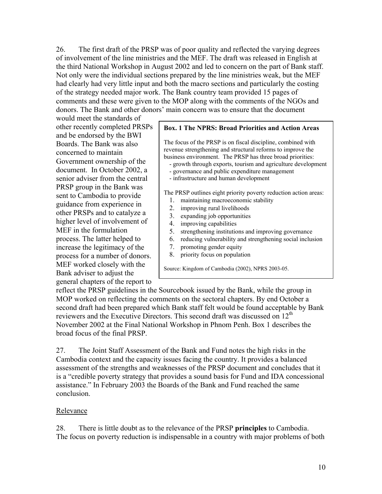26. The first draft of the PRSP was of poor quality and reflected the varying degrees of involvement of the line ministries and the MEF. The draft was released in English at the third National Workshop in August 2002 and led to concern on the part of Bank staff. Not only were the individual sections prepared by the line ministries weak, but the MEF had clearly had very little input and both the macro sections and particularly the costing of the strategy needed major work. The Bank country team provided 15 pages of comments and these were given to the MOP along with the comments of the NGOs and donors. The Bank and other donors' main concern was to ensure that the document

would meet the standards of other recently completed PRSPs and be endorsed by the BWI Boards. The Bank was also concerned to maintain Government ownership of the document. In October 2002, a senior adviser from the central PRSP group in the Bank was sent to Cambodia to provide guidance from experience in other PRSPs and to catalyze a higher level of involvement of MEF in the formulation process. The latter helped to increase the legitimacy of the process for a number of donors. MEF worked closely with the Bank adviser to adjust the general chapters of the report to

#### **Box. 1 The NPRS: Broad Priorities and Action Areas**

The focus of the PRSP is on fiscal discipline, combined with revenue strengthening and structural reforms to improve the business environment. The PRSP has three broad priorities:

- growth through exports, tourism and agriculture development
- governance and public expenditure management
- infrastructure and human development

The PRSP outlines eight priority poverty reduction action areas:

- 1. maintaining macroeconomic stability
- 2. improving rural livelihoods
- 3. expanding job opportunities
- 4. improving capabilities
- 5. strengthening institutions and improving governance
- 6. reducing vulnerability and strengthening social inclusion
- 7. promoting gender equity
- 8. priority focus on population

Source: Kingdom of Cambodia (2002), NPRS 2003-05.

reflect the PRSP guidelines in the Sourcebook issued by the Bank, while the group in MOP worked on reflecting the comments on the sectoral chapters. By end October a second draft had been prepared which Bank staff felt would be found acceptable by Bank reviewers and the Executive Directors. This second draft was discussed on 12<sup>th</sup> November 2002 at the Final National Workshop in Phnom Penh. Box 1 describes the broad focus of the final PRSP.

27. The Joint Staff Assessment of the Bank and Fund notes the high risks in the Cambodia context and the capacity issues facing the country. It provides a balanced assessment of the strengths and weaknesses of the PRSP document and concludes that it is a "credible poverty strategy that provides a sound basis for Fund and IDA concessional assistance." In February 2003 the Boards of the Bank and Fund reached the same conclusion.

#### Relevance

28. There is little doubt as to the relevance of the PRSP **principles** to Cambodia. The focus on poverty reduction is indispensable in a country with major problems of both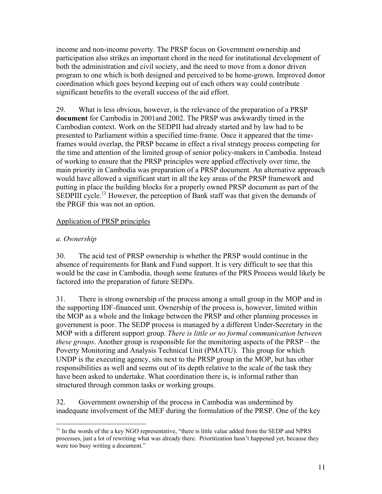income and non-income poverty. The PRSP focus on Government ownership and participation also strikes an important chord in the need for institutional development of both the administration and civil society, and the need to move from a donor driven program to one which is both designed and perceived to be home-grown. Improved donor coordination which goes beyond keeping out of each others way could contribute significant benefits to the overall success of the aid effort.

29. What is less obvious, however, is the relevance of the preparation of a PRSP **document** for Cambodia in 2001and 2002. The PRSP was awkwardly timed in the Cambodian context. Work on the SEDPII had already started and by law had to be presented to Parliament within a specified time-frame. Once it appeared that the timeframes would overlap, the PRSP became in effect a rival strategy process competing for the time and attention of the limited group of senior policy-makers in Cambodia. Instead of working to ensure that the PRSP principles were applied effectively over time, the main priority in Cambodia was preparation of a PRSP document. An alternative approach would have allowed a significant start in all the key areas of the PRSP framework and putting in place the building blocks for a properly owned PRSP document as part of the SEDPIII cycle.<sup>11</sup> However, the perception of Bank staff was that given the demands of the PRGF this was not an option.

## Application of PRSP principles

# *a. Ownership*

30. The acid test of PRSP ownership is whether the PRSP would continue in the absence of requirements for Bank and Fund support. It is very difficult to see that this would be the case in Cambodia, though some features of the PRS Process would likely be factored into the preparation of future SEDPs.

31. There is strong ownership of the process among a small group in the MOP and in the supporting IDF-financed unit. Ownership of the process is, however, limited within the MOP as a whole and the linkage between the PRSP and other planning processes in government is poor. The SEDP process is managed by a different Under-Secretary in the MOP with a different support group. *There is little or no formal communication between these groups*. Another group is responsible for the monitoring aspects of the PRSP – the Poverty Monitoring and Analysis Technical Unit (PMATU). This group for which UNDP is the executing agency, sits next to the PRSP group in the MOP, but has other responsibilities as well and seems out of its depth relative to the scale of the task they have been asked to undertake. What coordination there is, is informal rather than structured through common tasks or working groups.

32. Government ownership of the process in Cambodia was undermined by inadequate involvement of the MEF during the formulation of the PRSP. One of the key

 $\overline{a}$ <sup>11</sup> In the words of the a key NGO representative, "there is little value added from the SEDP and NPRS processes, just a lot of rewriting what was already there. Prioritization hasn't happened yet, because they were too busy writing a document."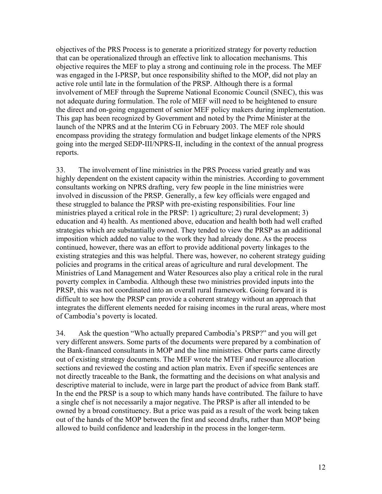objectives of the PRS Process is to generate a prioritized strategy for poverty reduction that can be operationalized through an effective link to allocation mechanisms. This objective requires the MEF to play a strong and continuing role in the process. The MEF was engaged in the I-PRSP, but once responsibility shifted to the MOP, did not play an active role until late in the formulation of the PRSP. Although there is a formal involvement of MEF through the Supreme National Economic Council (SNEC), this was not adequate during formulation. The role of MEF will need to be heightened to ensure the direct and on-going engagement of senior MEF policy makers during implementation. This gap has been recognized by Government and noted by the Prime Minister at the launch of the NPRS and at the Interim CG in February 2003. The MEF role should encompass providing the strategy formulation and budget linkage elements of the NPRS going into the merged SEDP-III/NPRS-II, including in the context of the annual progress reports.

33. The involvement of line ministries in the PRS Process varied greatly and was highly dependent on the existent capacity within the ministries. According to government consultants working on NPRS drafting, very few people in the line ministries were involved in discussion of the PRSP. Generally, a few key officials were engaged and these struggled to balance the PRSP with pre-existing responsibilities. Four line ministries played a critical role in the PRSP: 1) agriculture; 2) rural development; 3) education and 4) health. As mentioned above, education and health both had well crafted strategies which are substantially owned. They tended to view the PRSP as an additional imposition which added no value to the work they had already done. As the process continued, however, there was an effort to provide additional poverty linkages to the existing strategies and this was helpful. There was, however, no coherent strategy guiding policies and programs in the critical areas of agriculture and rural development. The Ministries of Land Management and Water Resources also play a critical role in the rural poverty complex in Cambodia. Although these two ministries provided inputs into the PRSP, this was not coordinated into an overall rural framework. Going forward it is difficult to see how the PRSP can provide a coherent strategy without an approach that integrates the different elements needed for raising incomes in the rural areas, where most of Cambodia's poverty is located.

34. Ask the question "Who actually prepared Cambodia's PRSP?" and you will get very different answers. Some parts of the documents were prepared by a combination of the Bank-financed consultants in MOP and the line ministries. Other parts came directly out of existing strategy documents. The MEF wrote the MTEF and resource allocation sections and reviewed the costing and action plan matrix. Even if specific sentences are not directly traceable to the Bank, the formatting and the decisions on what analysis and descriptive material to include, were in large part the product of advice from Bank staff. In the end the PRSP is a soup to which many hands have contributed. The failure to have a single chef is not necessarily a major negative. The PRSP is after all intended to be owned by a broad constituency. But a price was paid as a result of the work being taken out of the hands of the MOP between the first and second drafts, rather than MOP being allowed to build confidence and leadership in the process in the longer-term.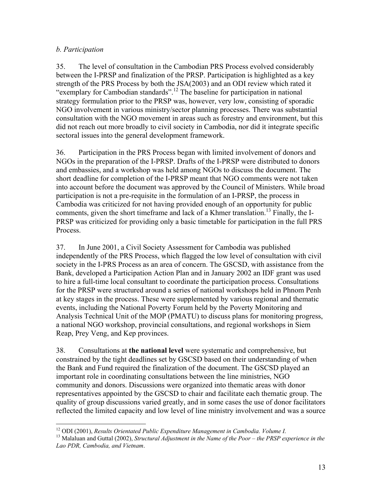## *b. Participation*

35. The level of consultation in the Cambodian PRS Process evolved considerably between the I-PRSP and finalization of the PRSP. Participation is highlighted as a key strength of the PRS Process by both the JSA(2003) and an ODI review which rated it "exemplary for Cambodian standards".<sup>12</sup> The baseline for participation in national strategy formulation prior to the PRSP was, however, very low, consisting of sporadic NGO involvement in various ministry/sector planning processes. There was substantial consultation with the NGO movement in areas such as forestry and environment, but this did not reach out more broadly to civil society in Cambodia, nor did it integrate specific sectoral issues into the general development framework.

36. Participation in the PRS Process began with limited involvement of donors and NGOs in the preparation of the I-PRSP. Drafts of the I-PRSP were distributed to donors and embassies, and a workshop was held among NGOs to discuss the document. The short deadline for completion of the I-PRSP meant that NGO comments were not taken into account before the document was approved by the Council of Ministers. While broad participation is not a pre-requisite in the formulation of an I-PRSP, the process in Cambodia was criticized for not having provided enough of an opportunity for public comments, given the short timeframe and lack of a Khmer translation.<sup>13</sup> Finally, the I-PRSP was criticized for providing only a basic timetable for participation in the full PRS Process.

37. In June 2001, a Civil Society Assessment for Cambodia was published independently of the PRS Process, which flagged the low level of consultation with civil society in the I-PRS Process as an area of concern. The GSCSD, with assistance from the Bank, developed a Participation Action Plan and in January 2002 an IDF grant was used to hire a full-time local consultant to coordinate the participation process. Consultations for the PRSP were structured around a series of national workshops held in Phnom Penh at key stages in the process. These were supplemented by various regional and thematic events, including the National Poverty Forum held by the Poverty Monitoring and Analysis Technical Unit of the MOP (PMATU) to discuss plans for monitoring progress, a national NGO workshop, provincial consultations, and regional workshops in Siem Reap, Prey Veng, and Kep provinces.

38. Consultations at **the national level** were systematic and comprehensive, but constrained by the tight deadlines set by GSCSD based on their understanding of when the Bank and Fund required the finalization of the document. The GSCSD played an important role in coordinating consultations between the line ministries, NGO community and donors. Discussions were organized into thematic areas with donor representatives appointed by the GSCSD to chair and facilitate each thematic group. The quality of group discussions varied greatly, and in some cases the use of donor facilitators reflected the limited capacity and low level of line ministry involvement and was a source

<sup>1</sup> 

<sup>&</sup>lt;sup>12</sup> ODI (2001), *Results Orientated Public Expenditure Management in Cambodia. Volume I.*<br><sup>13</sup> Malaluan and Guttal (2002), *Structural Adjustment in the Name of the Poor – the PRSP experience in the Lao PDR, Cambodia, and Vietnam*.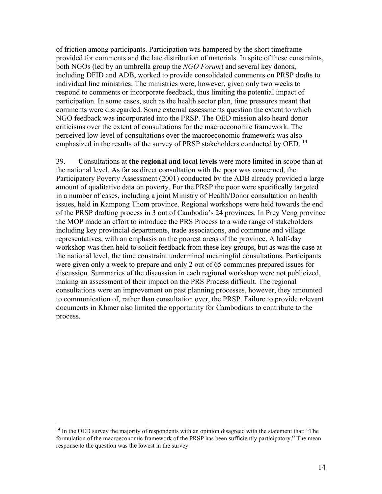of friction among participants. Participation was hampered by the short timeframe provided for comments and the late distribution of materials. In spite of these constraints, both NGOs (led by an umbrella group the *NGO Forum*) and several key donors, including DFID and ADB, worked to provide consolidated comments on PRSP drafts to individual line ministries. The ministries were, however, given only two weeks to respond to comments or incorporate feedback, thus limiting the potential impact of participation. In some cases, such as the health sector plan, time pressures meant that comments were disregarded. Some external assessments question the extent to which NGO feedback was incorporated into the PRSP. The OED mission also heard donor criticisms over the extent of consultations for the macroeconomic framework. The perceived low level of consultations over the macroeconomic framework was also emphasized in the results of the survey of PRSP stakeholders conducted by OED.<sup>14</sup>

39. Consultations at **the regional and local levels** were more limited in scope than at the national level. As far as direct consultation with the poor was concerned, the Participatory Poverty Assessment (2001) conducted by the ADB already provided a large amount of qualitative data on poverty. For the PRSP the poor were specifically targeted in a number of cases, including a joint Ministry of Health/Donor consultation on health issues, held in Kampong Thom province. Regional workshops were held towards the end of the PRSP drafting process in 3 out of Cambodia's 24 provinces. In Prey Veng province the MOP made an effort to introduce the PRS Process to a wide range of stakeholders including key provincial departments, trade associations, and commune and village representatives, with an emphasis on the poorest areas of the province. A half-day workshop was then held to solicit feedback from these key groups, but as was the case at the national level, the time constraint undermined meaningful consultations. Participants were given only a week to prepare and only 2 out of 65 communes prepared issues for discussion. Summaries of the discussion in each regional workshop were not publicized, making an assessment of their impact on the PRS Process difficult. The regional consultations were an improvement on past planning processes, however, they amounted to communication of, rather than consultation over, the PRSP. Failure to provide relevant documents in Khmer also limited the opportunity for Cambodians to contribute to the process.

1

 $14$  In the OED survey the majority of respondents with an opinion disagreed with the statement that: "The formulation of the macroeconomic framework of the PRSP has been sufficiently participatory." The mean response to the question was the lowest in the survey.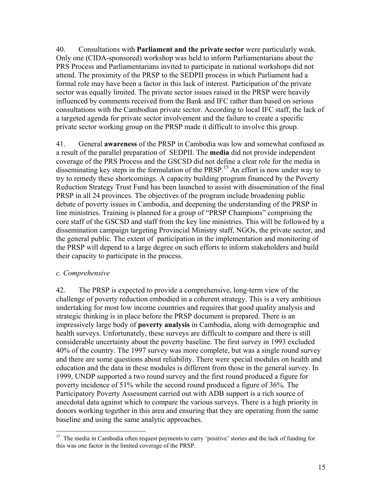40. Consultations with **Parliament and the private sector** were particularly weak. Only one (CIDA-sponsored) workshop was held to inform Parliamentarians about the PRS Process and Parliamentarians invited to participate in national workshops did not attend. The proximity of the PRSP to the SEDPII process in which Parliament had a formal role may have been a factor in this lack of interest. Participation of the private sector was equally limited. The private sector issues raised in the PRSP were heavily influenced by comments received from the Bank and IFC rather than based on serious consultations with the Cambodian private sector. According to local IFC staff, the lack of a targeted agenda for private sector involvement and the failure to create a specific private sector working group on the PRSP made it difficult to involve this group.

41. General **awareness** of the PRSP in Cambodia was low and somewhat confused as a result of the parallel preparation of SEDPII. The **media** did not provide independent coverage of the PRS Process and the GSCSD did not define a clear role for the media in disseminating key steps in the formulation of the PRSP.<sup>15</sup> An effort is now under way to try to remedy these shortcomings. A capacity building program financed by the Poverty Reduction Strategy Trust Fund has been launched to assist with dissemination of the final PRSP in all 24 provinces. The objectives of the program include broadening public debate of poverty issues in Cambodia, and deepening the understanding of the PRSP in line ministries. Training is planned for a group of "PRSP Champions" comprising the core staff of the GSCSD and staff from the key line ministries. This will be followed by a dissemination campaign targeting Provincial Ministry staff, NGOs, the private sector, and the general public. The extent of participation in the implementation and monitoring of the PRSP will depend to a large degree on such efforts to inform stakeholders and build their capacity to participate in the process.

#### *c. Comprehensive*

 $\overline{a}$ 

42. The PRSP is expected to provide a comprehensive, long-term view of the challenge of poverty reduction embodied in a coherent strategy. This is a very ambitious undertaking for most low income countries and requires that good quality analysis and strategic thinking is in place before the PRSP document is prepared. There is an impressively large body of **poverty analysis** in Cambodia, along with demographic and health surveys. Unfortunately, these surveys are difficult to compare and there is still considerable uncertainty about the poverty baseline. The first survey in 1993 excluded 40% of the country. The 1997 survey was more complete, but was a single round survey and there are some questions about reliability. There were special modules on health and education and the data in these modules is different from those in the general survey. In 1999, UNDP supported a two round survey and the first round produced a figure for poverty incidence of 51% while the second round produced a figure of 36%. The Participatory Poverty Assessment carried out with ADB support is a rich source of anecdotal data against which to compare the various surveys. There is a high priority in donors working together in this area and ensuring that they are operating from the same baseline and using the same analytic approaches.

<sup>&</sup>lt;sup>15</sup> The media in Cambodia often request payments to carry 'positive' stories and the lack of funding for this was one factor in the limited coverage of the PRSP.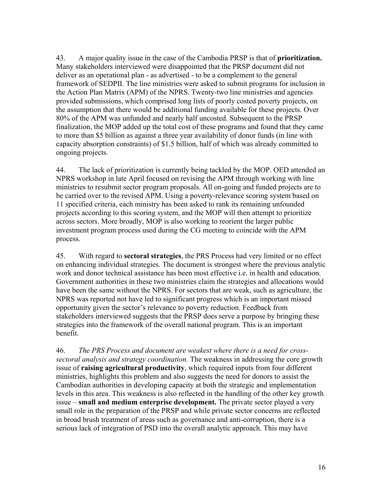43. A major quality issue in the case of the Cambodia PRSP is that of **prioritization.** Many stakeholders interviewed were disappointed that the PRSP document did not deliver as an operational plan - as advertised - to be a complement to the general framework of SEDPII. The line ministries were asked to submit programs for inclusion in the Action Plan Matrix (APM) of the NPRS. Twenty-two line ministries and agencies provided submissions, which comprised long lists of poorly costed poverty projects, on the assumption that there would be additional funding available for these projects. Over 80% of the APM was unfunded and nearly half uncosted. Subsequent to the PRSP finalization, the MOP added up the total cost of these programs and found that they came to more than \$5 billion as against a three year availability of donor funds (in line with capacity absorption constraints) of \$1.5 billion, half of which was already committed to ongoing projects.

44. The lack of prioritization is currently being tackled by the MOP. OED attended an NPRS workshop in late April focused on revising the APM through working with line ministries to resubmit sector program proposals. All on-going and funded projects are to be carried over to the revised APM. Using a poverty-relevance scoring system based on 11 specified criteria, each ministry has been asked to rank its remaining unfounded projects according to this scoring system, and the MOP will then attempt to prioritize across sectors. More broadly, MOP is also working to reorient the larger public investment program process used during the CG meeting to coincide with the APM process.

45. With regard to **sectoral strategies**, the PRS Process had very limited or no effect on enhancing individual strategies. The document is strongest where the previous analytic work and donor technical assistance has been most effective i.e. in health and education. Government authorities in these two ministries claim the strategies and allocations would have been the same without the NPRS. For sectors that are weak, such as agriculture, the NPRS was reported not have led to significant progress which is an important missed opportunity given the sector's relevance to poverty reduction. Feedback from stakeholders interviewed suggests that the PRSP does serve a purpose by bringing these strategies into the framework of the overall national program. This is an important benefit.

46. *The PRS Process and document are weakest where there is a need for crosssectoral analysis and strategy coordination.* The weakness in addressing the core growth issue of **raising agricultural productivity**, which required inputs from four different ministries, highlights this problem and also suggests the need for donors to assist the Cambodian authorities in developing capacity at both the strategic and implementation levels in this area. This weakness is also reflected in the handling of the other key growth issue – **small and medium enterprise development.** The private sector played a very small role in the preparation of the PRSP and while private sector concerns are reflected in broad brush treatment of areas such as governance and anti-corruption, there is a serious lack of integration of PSD into the overall analytic approach. This may have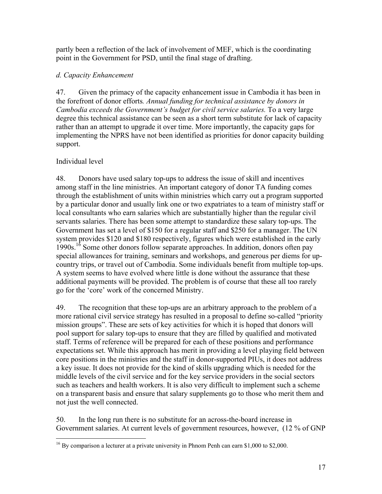partly been a reflection of the lack of involvement of MEF, which is the coordinating point in the Government for PSD, until the final stage of drafting.

## *d. Capacity Enhancement*

47. Given the primacy of the capacity enhancement issue in Cambodia it has been in the forefront of donor efforts*. Annual funding for technical assistance by donors in Cambodia exceeds the Government's budget for civil service salaries.* To a very large degree this technical assistance can be seen as a short term substitute for lack of capacity rather than an attempt to upgrade it over time. More importantly, the capacity gaps for implementing the NPRS have not been identified as priorities for donor capacity building support.

# Individual level

48. Donors have used salary top-ups to address the issue of skill and incentives among staff in the line ministries. An important category of donor TA funding comes through the establishment of units within ministries which carry out a program supported by a particular donor and usually link one or two expatriates to a team of ministry staff or local consultants who earn salaries which are substantially higher than the regular civil servants salaries. There has been some attempt to standardize these salary top-ups. The Government has set a level of \$150 for a regular staff and \$250 for a manager. The UN system provides \$120 and \$180 respectively, figures which were established in the early 1990s.<sup>16</sup> Some other donors follow separate approaches. In addition, donors often pay special allowances for training, seminars and workshops, and generous per diems for upcountry trips, or travel out of Cambodia. Some individuals benefit from multiple top-ups. A system seems to have evolved where little is done without the assurance that these additional payments will be provided. The problem is of course that these all too rarely go for the 'core' work of the concerned Ministry.

49. The recognition that these top-ups are an arbitrary approach to the problem of a more rational civil service strategy has resulted in a proposal to define so-called "priority mission groups". These are sets of key activities for which it is hoped that donors will pool support for salary top-ups to ensure that they are filled by qualified and motivated staff. Terms of reference will be prepared for each of these positions and performance expectations set. While this approach has merit in providing a level playing field between core positions in the ministries and the staff in donor-supported PIUs, it does not address a key issue. It does not provide for the kind of skills upgrading which is needed for the middle levels of the civil service and for the key service providers in the social sectors such as teachers and health workers. It is also very difficult to implement such a scheme on a transparent basis and ensure that salary supplements go to those who merit them and not just the well connected.

50. In the long run there is no substitute for an across-the-board increase in Government salaries. At current levels of government resources, however, (12 % of GNP

<sup>&</sup>lt;u>.</u> <sup>16</sup> By comparison a lecturer at a private university in Phnom Penh can earn \$1,000 to \$2,000.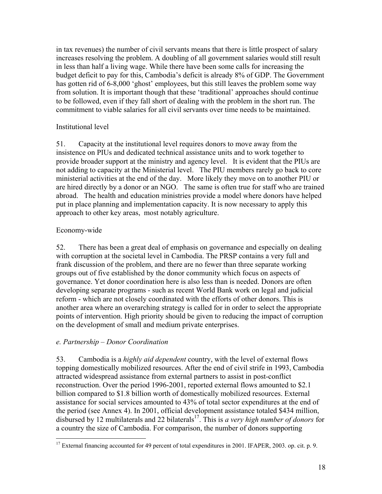in tax revenues) the number of civil servants means that there is little prospect of salary increases resolving the problem. A doubling of all government salaries would still result in less than half a living wage. While there have been some calls for increasing the budget deficit to pay for this, Cambodia's deficit is already 8% of GDP. The Government has gotten rid of 6-8,000 'ghost' employees, but this still leaves the problem some way from solution. It is important though that these 'traditional' approaches should continue to be followed, even if they fall short of dealing with the problem in the short run. The commitment to viable salaries for all civil servants over time needs to be maintained.

## Institutional level

51. Capacity at the institutional level requires donors to move away from the insistence on PIUs and dedicated technical assistance units and to work together to provide broader support at the ministry and agency level. It is evident that the PIUs are not adding to capacity at the Ministerial level. The PIU members rarely go back to core ministerial activities at the end of the day. More likely they move on to another PIU or are hired directly by a donor or an NGO. The same is often true for staff who are trained abroad. The health and education ministries provide a model where donors have helped put in place planning and implementation capacity. It is now necessary to apply this approach to other key areas, most notably agriculture.

## Economy-wide

52. There has been a great deal of emphasis on governance and especially on dealing with corruption at the societal level in Cambodia. The PRSP contains a very full and frank discussion of the problem, and there are no fewer than three separate working groups out of five established by the donor community which focus on aspects of governance. Yet donor coordination here is also less than is needed. Donors are often developing separate programs - such as recent World Bank work on legal and judicial reform - which are not closely coordinated with the efforts of other donors. This is another area where an overarching strategy is called for in order to select the appropriate points of intervention. High priority should be given to reducing the impact of corruption on the development of small and medium private enterprises.

# *e. Partnership – Donor Coordination*

53. Cambodia is a *highly aid dependent* country, with the level of external flows topping domestically mobilized resources. After the end of civil strife in 1993, Cambodia attracted widespread assistance from external partners to assist in post-conflict reconstruction. Over the period 1996-2001, reported external flows amounted to \$2.1 billion compared to \$1.8 billion worth of domestically mobilized resources. External assistance for social services amounted to 43% of total sector expenditures at the end of the period (see Annex 4). In 2001, official development assistance totaled \$434 million, disbursed by 12 multilaterals and 22 bilaterals<sup>17</sup>. This is *a very high number of donors* for a country the size of Cambodia. For comparison, the number of donors supporting

<sup>&</sup>lt;u>.</u> <sup>17</sup> External financing accounted for 49 percent of total expenditures in 2001. IFAPER, 2003. op. cit. p. 9.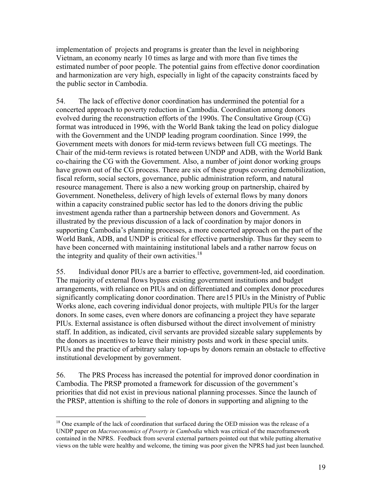implementation of projects and programs is greater than the level in neighboring Vietnam, an economy nearly 10 times as large and with more than five times the estimated number of poor people. The potential gains from effective donor coordination and harmonization are very high, especially in light of the capacity constraints faced by the public sector in Cambodia.

54. The lack of effective donor coordination has undermined the potential for a concerted approach to poverty reduction in Cambodia. Coordination among donors evolved during the reconstruction efforts of the 1990s. The Consultative Group (CG) format was introduced in 1996, with the World Bank taking the lead on policy dialogue with the Government and the UNDP leading program coordination. Since 1999, the Government meets with donors for mid-term reviews between full CG meetings. The Chair of the mid-term reviews is rotated between UNDP and ADB, with the World Bank co-chairing the CG with the Government. Also, a number of joint donor working groups have grown out of the CG process. There are six of these groups covering demobilization, fiscal reform, social sectors, governance, public administration reform, and natural resource management. There is also a new working group on partnership, chaired by Government. Nonetheless, delivery of high levels of external flows by many donors within a capacity constrained public sector has led to the donors driving the public investment agenda rather than a partnership between donors and Government. As illustrated by the previous discussion of a lack of coordination by major donors in supporting Cambodia's planning processes, a more concerted approach on the part of the World Bank, ADB, and UNDP is critical for effective partnership. Thus far they seem to have been concerned with maintaining institutional labels and a rather narrow focus on the integrity and quality of their own activities. $18$ 

55. Individual donor PIUs are a barrier to effective, government-led, aid coordination. The majority of external flows bypass existing government institutions and budget arrangements, with reliance on PIUs and on differentiated and complex donor procedures significantly complicating donor coordination. There are15 PIUs in the Ministry of Public Works alone, each covering individual donor projects, with multiple PIUs for the larger donors. In some cases, even where donors are cofinancing a project they have separate PIUs. External assistance is often disbursed without the direct involvement of ministry staff. In addition, as indicated, civil servants are provided sizeable salary supplements by the donors as incentives to leave their ministry posts and work in these special units. PIUs and the practice of arbitrary salary top-ups by donors remain an obstacle to effective institutional development by government.

56. The PRS Process has increased the potential for improved donor coordination in Cambodia. The PRSP promoted a framework for discussion of the government's priorities that did not exist in previous national planning processes. Since the launch of the PRSP, attention is shifting to the role of donors in supporting and aligning to the

 $\overline{a}$ 

<sup>&</sup>lt;sup>18</sup> One example of the lack of coordination that surfaced during the OED mission was the release of a UNDP paper on *Macroeconomics of Poverty in Cambodia* which was critical of the macroframework contained in the NPRS. Feedback from several external partners pointed out that while putting alternative views on the table were healthy and welcome, the timing was poor given the NPRS had just been launched.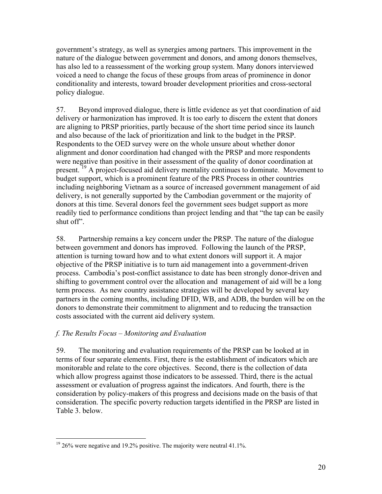government's strategy, as well as synergies among partners. This improvement in the nature of the dialogue between government and donors, and among donors themselves, has also led to a reassessment of the working group system. Many donors interviewed voiced a need to change the focus of these groups from areas of prominence in donor conditionality and interests, toward broader development priorities and cross-sectoral policy dialogue.

57. Beyond improved dialogue, there is little evidence as yet that coordination of aid delivery or harmonization has improved. It is too early to discern the extent that donors are aligning to PRSP priorities, partly because of the short time period since its launch and also because of the lack of prioritization and link to the budget in the PRSP. Respondents to the OED survey were on the whole unsure about whether donor alignment and donor coordination had changed with the PRSP and more respondents were negative than positive in their assessment of the quality of donor coordination at present.<sup>19</sup> A project-focused aid delivery mentality continues to dominate. Movement to budget support, which is a prominent feature of the PRS Process in other countries including neighboring Vietnam as a source of increased government management of aid delivery, is not generally supported by the Cambodian government or the majority of donors at this time. Several donors feel the government sees budget support as more readily tied to performance conditions than project lending and that "the tap can be easily shut off".

58. Partnership remains a key concern under the PRSP. The nature of the dialogue between government and donors has improved. Following the launch of the PRSP, attention is turning toward how and to what extent donors will support it. A major objective of the PRSP initiative is to turn aid management into a government-driven process. Cambodia's post-conflict assistance to date has been strongly donor-driven and shifting to government control over the allocation and management of aid will be a long term process. As new country assistance strategies will be developed by several key partners in the coming months, including DFID, WB, and ADB, the burden will be on the donors to demonstrate their commitment to alignment and to reducing the transaction costs associated with the current aid delivery system.

# *f. The Results Focus – Monitoring and Evaluation*

 $\overline{a}$ 

59. The monitoring and evaluation requirements of the PRSP can be looked at in terms of four separate elements. First, there is the establishment of indicators which are monitorable and relate to the core objectives. Second, there is the collection of data which allow progress against those indicators to be assessed. Third, there is the actual assessment or evaluation of progress against the indicators. And fourth, there is the consideration by policy-makers of this progress and decisions made on the basis of that consideration. The specific poverty reduction targets identified in the PRSP are listed in Table 3. below.

 $19\,26\%$  were negative and 19.2% positive. The majority were neutral 41.1%.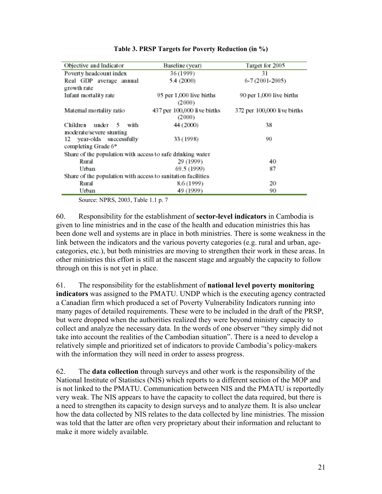| Objective and Indicator                                      | Baseline (year)             | Target for 2005             |
|--------------------------------------------------------------|-----------------------------|-----------------------------|
| Poverty headcount index                                      | 36 (1999)                   | 31                          |
| Real GDP average annual                                      | 5.4 (2000)                  | 6-7 (2001-2005)             |
| growth rate                                                  |                             |                             |
| Infant mortality rate                                        | 95 per 1,000 live births    | 90 per 1,000 live births    |
|                                                              | (2000)                      |                             |
| Matemal mortality ratio                                      | 437 per 100,000 live births | 372 per 100,000 live births |
|                                                              | (2000)                      |                             |
| Children under 5 with                                        | 44 (2000)                   | 38                          |
| moderate/severe stunting                                     |                             |                             |
| 12 year-olds successfully                                    | 33 (1998)                   | 90.                         |
| completing Grade 6*                                          |                             |                             |
| Share of the population with access to safe drinking water   |                             |                             |
| Rural                                                        | 29 (1999)                   | 40                          |
| Urban                                                        | 69.5 (1999)                 | 87                          |
| Share of the population with access to sanitation facilities |                             |                             |
| Rural                                                        | 8.6 (1999)                  | 20                          |
| Urban                                                        | 49 (1999)                   | 90                          |

#### **Table 3. PRSP Targets for Poverty Reduction (in %)**

Source: NPRS, 2003, Table 1.1 p. 7

60. Responsibility for the establishment of **sector-level indicators** in Cambodia is given to line ministries and in the case of the health and education ministries this has been done well and systems are in place in both ministries. There is some weakness in the link between the indicators and the various poverty categories (e.g. rural and urban, agecategories, etc.), but both ministries are moving to strengthen their work in these areas. In other ministries this effort is still at the nascent stage and arguably the capacity to follow through on this is not yet in place.

61. The responsibility for the establishment of **national level poverty monitoring indicators** was assigned to the PMATU. UNDP which is the executing agency contracted a Canadian firm which produced a set of Poverty Vulnerability Indicators running into many pages of detailed requirements. These were to be included in the draft of the PRSP, but were dropped when the authorities realized they were beyond ministry capacity to collect and analyze the necessary data. In the words of one observer "they simply did not take into account the realities of the Cambodian situation". There is a need to develop a relatively simple and prioritized set of indicators to provide Cambodia's policy-makers with the information they will need in order to assess progress.

62. The **data collection** through surveys and other work is the responsibility of the National Institute of Statistics (NIS) which reports to a different section of the MOP and is not linked to the PMATU. Communication between NIS and the PMATU is reportedly very weak. The NIS appears to have the capacity to collect the data required, but there is a need to strengthen its capacity to design surveys and to analyze them. It is also unclear how the data collected by NIS relates to the data collected by line ministries. The mission was told that the latter are often very proprietary about their information and reluctant to make it more widely available.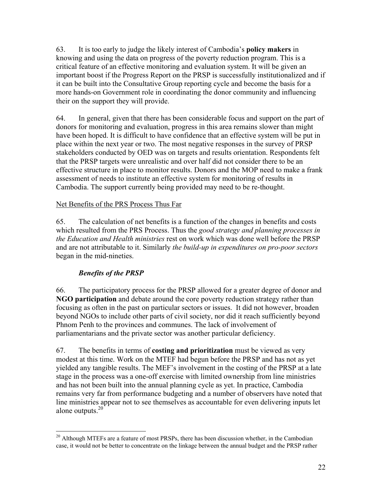63. It is too early to judge the likely interest of Cambodia's **policy makers** in knowing and using the data on progress of the poverty reduction program. This is a critical feature of an effective monitoring and evaluation system. It will be given an important boost if the Progress Report on the PRSP is successfully institutionalized and if it can be built into the Consultative Group reporting cycle and become the basis for a more hands-on Government role in coordinating the donor community and influencing their on the support they will provide.

64. In general, given that there has been considerable focus and support on the part of donors for monitoring and evaluation, progress in this area remains slower than might have been hoped. It is difficult to have confidence that an effective system will be put in place within the next year or two. The most negative responses in the survey of PRSP stakeholders conducted by OED was on targets and results orientation. Respondents felt that the PRSP targets were unrealistic and over half did not consider there to be an effective structure in place to monitor results. Donors and the MOP need to make a frank assessment of needs to institute an effective system for monitoring of results in Cambodia. The support currently being provided may need to be re-thought.

## Net Benefits of the PRS Process Thus Far

65. The calculation of net benefits is a function of the changes in benefits and costs which resulted from the PRS Process. Thus the *good strategy and planning processes in the Education and Health ministries* rest on work which was done well before the PRSP and are not attributable to it. Similarly *the build-up in expenditures on pro-poor sectors* began in the mid-nineties.

# *Benefits of the PRSP*

66. The participatory process for the PRSP allowed for a greater degree of donor and **NGO participation** and debate around the core poverty reduction strategy rather than focusing as often in the past on particular sectors or issues. It did not however, broaden beyond NGOs to include other parts of civil society, nor did it reach sufficiently beyond Phnom Penh to the provinces and communes. The lack of involvement of parliamentarians and the private sector was another particular deficiency.

67. The benefits in terms of **costing and prioritization** must be viewed as very modest at this time. Work on the MTEF had begun before the PRSP and has not as yet yielded any tangible results. The MEF's involvement in the costing of the PRSP at a late stage in the process was a one-off exercise with limited ownership from line ministries and has not been built into the annual planning cycle as yet. In practice, Cambodia remains very far from performance budgeting and a number of observers have noted that line ministries appear not to see themselves as accountable for even delivering inputs let alone outputs.<sup>20</sup>

 $\overline{a}$  $20$  Although MTEFs are a feature of most PRSPs, there has been discussion whether, in the Cambodian case, it would not be better to concentrate on the linkage between the annual budget and the PRSP rather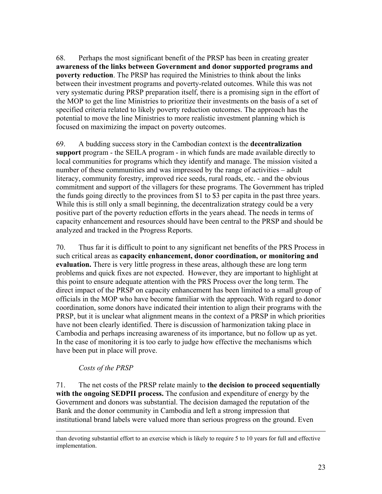68. Perhaps the most significant benefit of the PRSP has been in creating greater **awareness of the links between Government and donor supported programs and poverty reduction**. The PRSP has required the Ministries to think about the links between their investment programs and poverty-related outcomes. While this was not very systematic during PRSP preparation itself, there is a promising sign in the effort of the MOP to get the line Ministries to prioritize their investments on the basis of a set of specified criteria related to likely poverty reduction outcomes. The approach has the potential to move the line Ministries to more realistic investment planning which is focused on maximizing the impact on poverty outcomes.

69. A budding success story in the Cambodian context is the **decentralization support** program - the SEILA program - in which funds are made available directly to local communities for programs which they identify and manage. The mission visited a number of these communities and was impressed by the range of activities – adult literacy, community forestry, improved rice seeds, rural roads, etc. - and the obvious commitment and support of the villagers for these programs. The Government has tripled the funds going directly to the provinces from \$1 to \$3 per capita in the past three years. While this is still only a small beginning, the decentralization strategy could be a very positive part of the poverty reduction efforts in the years ahead. The needs in terms of capacity enhancement and resources should have been central to the PRSP and should be analyzed and tracked in the Progress Reports.

70. Thus far it is difficult to point to any significant net benefits of the PRS Process in such critical areas as **capacity enhancement, donor coordination, or monitoring and evaluation.** There is very little progress in these areas, although these are long term problems and quick fixes are not expected. However, they are important to highlight at this point to ensure adequate attention with the PRS Process over the long term. The direct impact of the PRSP on capacity enhancement has been limited to a small group of officials in the MOP who have become familiar with the approach. With regard to donor coordination, some donors have indicated their intention to align their programs with the PRSP, but it is unclear what alignment means in the context of a PRSP in which priorities have not been clearly identified. There is discussion of harmonization taking place in Cambodia and perhaps increasing awareness of its importance, but no follow up as yet. In the case of monitoring it is too early to judge how effective the mechanisms which have been put in place will prove.

## *Costs of the PRSP*

71. The net costs of the PRSP relate mainly to **the decision to proceed sequentially with the ongoing SEDPII process.** The confusion and expenditure of energy by the Government and donors was substantial. The decision damaged the reputation of the Bank and the donor community in Cambodia and left a strong impression that institutional brand labels were valued more than serious progress on the ground. Even

than devoting substantial effort to an exercise which is likely to require 5 to 10 years for full and effective implementation.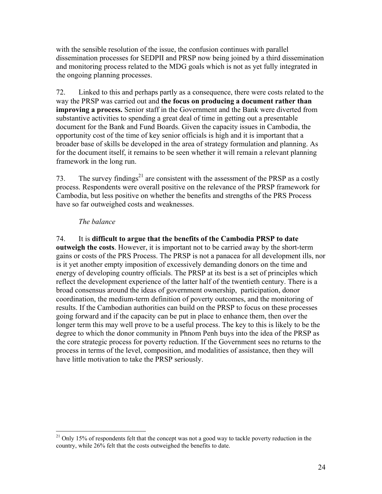with the sensible resolution of the issue, the confusion continues with parallel dissemination processes for SEDPII and PRSP now being joined by a third dissemination and monitoring process related to the MDG goals which is not as yet fully integrated in the ongoing planning processes.

72. Linked to this and perhaps partly as a consequence, there were costs related to the way the PRSP was carried out and **the focus on producing a document rather than improving a process.** Senior staff in the Government and the Bank were diverted from substantive activities to spending a great deal of time in getting out a presentable document for the Bank and Fund Boards. Given the capacity issues in Cambodia, the opportunity cost of the time of key senior officials is high and it is important that a broader base of skills be developed in the area of strategy formulation and planning. As for the document itself, it remains to be seen whether it will remain a relevant planning framework in the long run.

73. The survey findings<sup>21</sup> are consistent with the assessment of the PRSP as a costly process. Respondents were overall positive on the relevance of the PRSP framework for Cambodia, but less positive on whether the benefits and strengths of the PRS Process have so far outweighed costs and weaknesses.

## *The balance*

 $\overline{a}$ 

## 74. It is **difficult to argue that the benefits of the Cambodia PRSP to date**

**outweigh the costs**. However, it is important not to be carried away by the short-term gains or costs of the PRS Process. The PRSP is not a panacea for all development ills, nor is it yet another empty imposition of excessively demanding donors on the time and energy of developing country officials. The PRSP at its best is a set of principles which reflect the development experience of the latter half of the twentieth century. There is a broad consensus around the ideas of government ownership, participation, donor coordination, the medium-term definition of poverty outcomes, and the monitoring of results. If the Cambodian authorities can build on the PRSP to focus on these processes going forward and if the capacity can be put in place to enhance them, then over the longer term this may well prove to be a useful process. The key to this is likely to be the degree to which the donor community in Phnom Penh buys into the idea of the PRSP as the core strategic process for poverty reduction. If the Government sees no returns to the process in terms of the level, composition, and modalities of assistance, then they will have little motivation to take the PRSP seriously.

 $21$  Only 15% of respondents felt that the concept was not a good way to tackle poverty reduction in the country, while 26% felt that the costs outweighed the benefits to date.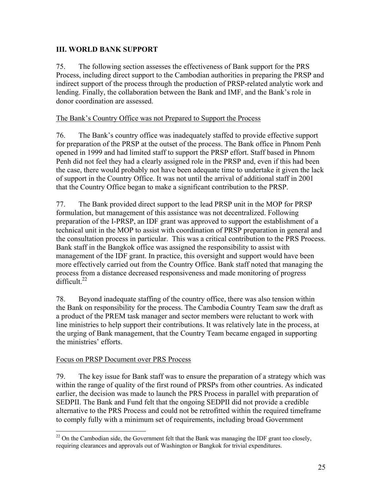# **III. WORLD BANK SUPPORT**

75. The following section assesses the effectiveness of Bank support for the PRS Process, including direct support to the Cambodian authorities in preparing the PRSP and indirect support of the process through the production of PRSP-related analytic work and lending. Finally, the collaboration between the Bank and IMF, and the Bank's role in donor coordination are assessed.

## The Bank's Country Office was not Prepared to Support the Process

76. The Bank's country office was inadequately staffed to provide effective support for preparation of the PRSP at the outset of the process. The Bank office in Phnom Penh opened in 1999 and had limited staff to support the PRSP effort. Staff based in Phnom Penh did not feel they had a clearly assigned role in the PRSP and, even if this had been the case, there would probably not have been adequate time to undertake it given the lack of support in the Country Office. It was not until the arrival of additional staff in 2001 that the Country Office began to make a significant contribution to the PRSP.

77. The Bank provided direct support to the lead PRSP unit in the MOP for PRSP formulation, but management of this assistance was not decentralized. Following preparation of the I-PRSP, an IDF grant was approved to support the establishment of a technical unit in the MOP to assist with coordination of PRSP preparation in general and the consultation process in particular. This was a critical contribution to the PRS Process. Bank staff in the Bangkok office was assigned the responsibility to assist with management of the IDF grant. In practice, this oversight and support would have been more effectively carried out from the Country Office. Bank staff noted that managing the process from a distance decreased responsiveness and made monitoring of progress difficult. $^{22}$ 

78. Beyond inadequate staffing of the country office, there was also tension within the Bank on responsibility for the process. The Cambodia Country Team saw the draft as a product of the PREM task manager and sector members were reluctant to work with line ministries to help support their contributions. It was relatively late in the process, at the urging of Bank management, that the Country Team became engaged in supporting the ministries' efforts.

## Focus on PRSP Document over PRS Process

79. The key issue for Bank staff was to ensure the preparation of a strategy which was within the range of quality of the first round of PRSPs from other countries. As indicated earlier, the decision was made to launch the PRS Process in parallel with preparation of SEDPII. The Bank and Fund felt that the ongoing SEDPII did not provide a credible alternative to the PRS Process and could not be retrofitted within the required timeframe to comply fully with a minimum set of requirements, including broad Government

 $\overline{a}$  $22$  On the Cambodian side, the Government felt that the Bank was managing the IDF grant too closely, requiring clearances and approvals out of Washington or Bangkok for trivial expenditures.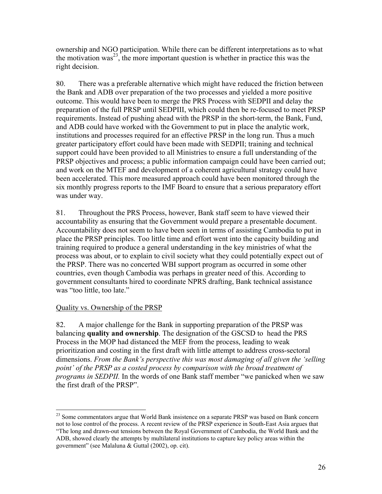ownership and NGO participation. While there can be different interpretations as to what the motivation was<sup>23</sup>, the more important question is whether in practice this was the right decision.

80. There was a preferable alternative which might have reduced the friction between the Bank and ADB over preparation of the two processes and yielded a more positive outcome. This would have been to merge the PRS Process with SEDPII and delay the preparation of the full PRSP until SEDPIII, which could then be re-focused to meet PRSP requirements. Instead of pushing ahead with the PRSP in the short-term, the Bank, Fund, and ADB could have worked with the Government to put in place the analytic work, institutions and processes required for an effective PRSP in the long run. Thus a much greater participatory effort could have been made with SEDPII; training and technical support could have been provided to all Ministries to ensure a full understanding of the PRSP objectives and process; a public information campaign could have been carried out; and work on the MTEF and development of a coherent agricultural strategy could have been accelerated. This more measured approach could have been monitored through the six monthly progress reports to the IMF Board to ensure that a serious preparatory effort was under way.

81. Throughout the PRS Process, however, Bank staff seem to have viewed their accountability as ensuring that the Government would prepare a presentable document. Accountability does not seem to have been seen in terms of assisting Cambodia to put in place the PRSP principles. Too little time and effort went into the capacity building and training required to produce a general understanding in the key ministries of what the process was about, or to explain to civil society what they could potentially expect out of the PRSP. There was no concerted WBI support program as occurred in some other countries, even though Cambodia was perhaps in greater need of this. According to government consultants hired to coordinate NPRS drafting, Bank technical assistance was "too little, too late."

# Quality vs. Ownership of the PRSP

82. A major challenge for the Bank in supporting preparation of the PRSP was balancing **quality and ownership**. The designation of the GSCSD to head the PRS Process in the MOP had distanced the MEF from the process, leading to weak prioritization and costing in the first draft with little attempt to address cross-sectoral dimensions. *From the Bank's perspective this was most damaging of all given the 'selling point' of the PRSP as a costed process by comparison with the broad treatment of programs in SEDPII.* In the words of one Bank staff member "we panicked when we saw the first draft of the PRSP".

<sup>1</sup> <sup>23</sup> Some commentators argue that World Bank insistence on a separate PRSP was based on Bank concern not to lose control of the process. A recent review of the PRSP experience in South-East Asia argues that "The long and drawn-out tensions between the Royal Government of Cambodia, the World Bank and the ADB, showed clearly the attempts by multilateral institutions to capture key policy areas within the government" (see Malaluna & Guttal (2002), op. cit).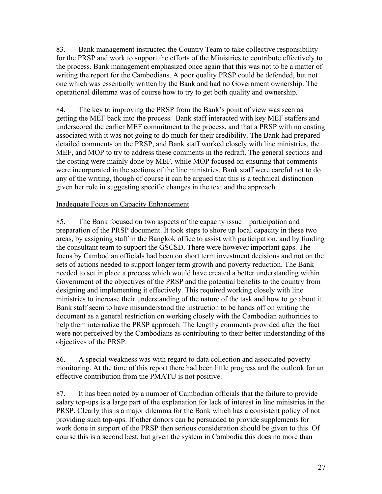83. Bank management instructed the Country Team to take collective responsibility for the PRSP and work to support the efforts of the Ministries to contribute effectively to the process. Bank management emphasized once again that this was not to be a matter of writing the report for the Cambodians. A poor quality PRSP could be defended, but not one which was essentially written by the Bank and had no Government ownership. The operational dilemma was of course how to try to get both quality and ownership*.* 

84. The key to improving the PRSP from the Bank's point of view was seen as getting the MEF back into the process. Bank staff interacted with key MEF staffers and underscored the earlier MEF commitment to the process, and that a PRSP with no costing associated with it was not going to do much for their credibility. The Bank had prepared detailed comments on the PRSP, and Bank staff worked closely with line ministries, the MEF, and MOP to try to address these comments in the redraft. The general sections and the costing were mainly done by MEF, while MOP focused on ensuring that comments were incorporated in the sections of the line ministries. Bank staff were careful not to do any of the writing, though of course it can be argued that this is a technical distinction given her role in suggesting specific changes in the text and the approach.

## Inadequate Focus on Capacity Enhancement

85. The Bank focused on two aspects of the capacity issue – participation and preparation of the PRSP document. It took steps to shore up local capacity in these two areas, by assigning staff in the Bangkok office to assist with participation, and by funding the consultant team to support the GSCSD. There were however important gaps. The focus by Cambodian officials had been on short term investment decisions and not on the sets of actions needed to support longer term growth and poverty reduction. The Bank needed to set in place a process which would have created a better understanding within Government of the objectives of the PRSP and the potential benefits to the country from designing and implementing it effectively. This required working closely with line ministries to increase their understanding of the nature of the task and how to go about it. Bank staff seem to have misunderstood the instruction to be hands off on writing the document as a general restriction on working closely with the Cambodian authorities to help them internalize the PRSP approach. The lengthy comments provided after the fact were not perceived by the Cambodians as contributing to their better understanding of the objectives of the PRSP.

86. A special weakness was with regard to data collection and associated poverty monitoring. At the time of this report there had been little progress and the outlook for an effective contribution from the PMATU is not positive.

87. It has been noted by a number of Cambodian officials that the failure to provide salary top-ups is a large part of the explanation for lack of interest in line ministries in the PRSP. Clearly this is a major dilemma for the Bank which has a consistent policy of not providing such top-ups. If other donors can be persuaded to provide supplements for work done in support of the PRSP then serious consideration should be given to this. Of course this is a second best, but given the system in Cambodia this does no more than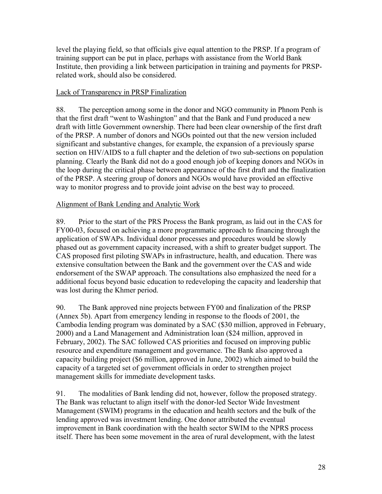level the playing field, so that officials give equal attention to the PRSP. If a program of training support can be put in place, perhaps with assistance from the World Bank Institute, then providing a link between participation in training and payments for PRSPrelated work, should also be considered.

## Lack of Transparency in PRSP Finalization

88. The perception among some in the donor and NGO community in Phnom Penh is that the first draft "went to Washington" and that the Bank and Fund produced a new draft with little Government ownership. There had been clear ownership of the first draft of the PRSP. A number of donors and NGOs pointed out that the new version included significant and substantive changes, for example, the expansion of a previously sparse section on HIV/AIDS to a full chapter and the deletion of two sub-sections on population planning. Clearly the Bank did not do a good enough job of keeping donors and NGOs in the loop during the critical phase between appearance of the first draft and the finalization of the PRSP. A steering group of donors and NGOs would have provided an effective way to monitor progress and to provide joint advise on the best way to proceed.

## Alignment of Bank Lending and Analytic Work

89. Prior to the start of the PRS Process the Bank program, as laid out in the CAS for FY00-03, focused on achieving a more programmatic approach to financing through the application of SWAPs. Individual donor processes and procedures would be slowly phased out as government capacity increased, with a shift to greater budget support. The CAS proposed first piloting SWAPs in infrastructure, health, and education. There was extensive consultation between the Bank and the government over the CAS and wide endorsement of the SWAP approach. The consultations also emphasized the need for a additional focus beyond basic education to redeveloping the capacity and leadership that was lost during the Khmer period.

90. The Bank approved nine projects between FY00 and finalization of the PRSP (Annex 5b). Apart from emergency lending in response to the floods of 2001, the Cambodia lending program was dominated by a SAC (\$30 million, approved in February, 2000) and a Land Management and Administration loan (\$24 million, approved in February, 2002). The SAC followed CAS priorities and focused on improving public resource and expenditure management and governance. The Bank also approved a capacity building project (\$6 million, approved in June, 2002) which aimed to build the capacity of a targeted set of government officials in order to strengthen project management skills for immediate development tasks.

91. The modalities of Bank lending did not, however, follow the proposed strategy. The Bank was reluctant to align itself with the donor-led Sector Wide Investment Management (SWIM) programs in the education and health sectors and the bulk of the lending approved was investment lending. One donor attributed the eventual improvement in Bank coordination with the health sector SWIM to the NPRS process itself. There has been some movement in the area of rural development, with the latest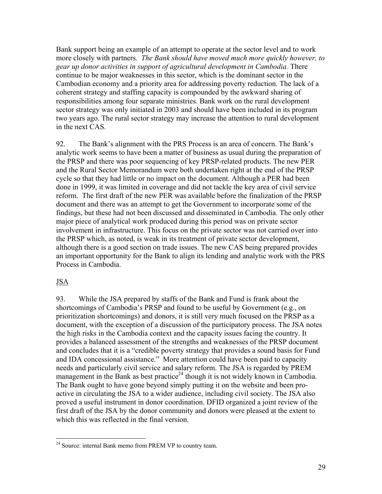Bank support being an example of an attempt to operate at the sector level and to work more closely with partners. *The Bank should have moved much more quickly however, to gear up donor activities in support of agricultural development in Cambodia.* There continue to be major weaknesses in this sector, which is the dominant sector in the Cambodian economy and a priority area for addressing poverty reduction. The lack of a coherent strategy and staffing capacity is compounded by the awkward sharing of responsibilities among four separate ministries. Bank work on the rural development sector strategy was only initiated in 2003 and should have been included in its program two years ago. The rural sector strategy may increase the attention to rural development in the next CAS.

92. The Bank's alignment with the PRS Process is an area of concern. The Bank's analytic work seems to have been a matter of business as usual during the preparation of the PRSP and there was poor sequencing of key PRSP-related products. The new PER and the Rural Sector Memorandum were both undertaken right at the end of the PRSP cycle so that they had little or no impact on the document. Although a PER had been done in 1999, it was limited in coverage and did not tackle the key area of civil service reform. The first draft of the new PER was available before the finalization of the PRSP document and there was an attempt to get the Government to incorporate some of the findings, but these had not been discussed and disseminated in Cambodia. The only other major piece of analytical work produced during this period was on private sector involvement in infrastructure. This focus on the private sector was not carried over into the PRSP which, as noted, is weak in its treatment of private sector development, although there is a good section on trade issues. The new CAS being prepared provides an important opportunity for the Bank to align its lending and analytic work with the PRS Process in Cambodia.

## JSA

 $\overline{a}$ 

93. While the JSA prepared by staffs of the Bank and Fund is frank about the shortcomings of Cambodia's PRSP and found to be useful by Government (e.g., on prioritization shortcomings) and donors, it is still very much focused on the PRSP as a document, with the exception of a discussion of the participatory process. The JSA notes the high risks in the Cambodia context and the capacity issues facing the country. It provides a balanced assessment of the strengths and weaknesses of the PRSP document and concludes that it is a "credible poverty strategy that provides a sound basis for Fund and IDA concessional assistance." More attention could have been paid to capacity needs and particularly civil service and salary reform. The JSA is regarded by PREM management in the Bank as best practice<sup>24</sup> though it is not widely known in Cambodia. The Bank ought to have gone beyond simply putting it on the website and been proactive in circulating the JSA to a wider audience, including civil society. The JSA also proved a useful instrument in donor coordination. DFID organized a joint review of the first draft of the JSA by the donor community and donors were pleased at the extent to which this was reflected in the final version.

<sup>&</sup>lt;sup>24</sup> Source: internal Bank memo from PREM VP to country team.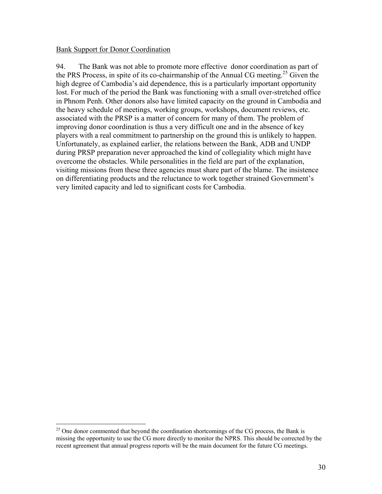#### Bank Support for Donor Coordination

1

94. The Bank was not able to promote more effective donor coordination as part of the PRS Process, in spite of its co-chairmanship of the Annual CG meeting.<sup>25</sup> Given the high degree of Cambodia's aid dependence, this is a particularly important opportunity lost. For much of the period the Bank was functioning with a small over-stretched office in Phnom Penh. Other donors also have limited capacity on the ground in Cambodia and the heavy schedule of meetings, working groups, workshops, document reviews, etc. associated with the PRSP is a matter of concern for many of them. The problem of improving donor coordination is thus a very difficult one and in the absence of key players with a real commitment to partnership on the ground this is unlikely to happen. Unfortunately, as explained earlier, the relations between the Bank, ADB and UNDP during PRSP preparation never approached the kind of collegiality which might have overcome the obstacles. While personalities in the field are part of the explanation, visiting missions from these three agencies must share part of the blame. The insistence on differentiating products and the reluctance to work together strained Government's very limited capacity and led to significant costs for Cambodia.

 $^{25}$  One donor commented that beyond the coordination shortcomings of the CG process, the Bank is missing the opportunity to use the CG more directly to monitor the NPRS. This should be corrected by the recent agreement that annual progress reports will be the main document for the future CG meetings.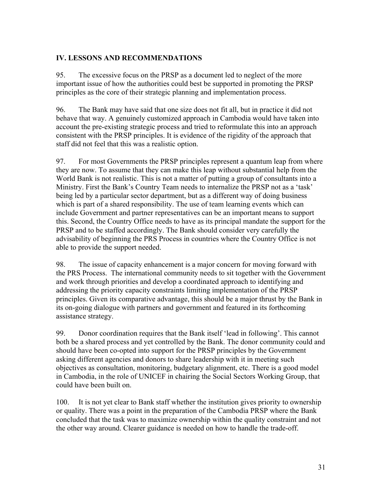## **IV. LESSONS AND RECOMMENDATIONS**

95. The excessive focus on the PRSP as a document led to neglect of the more important issue of how the authorities could best be supported in promoting the PRSP principles as the core of their strategic planning and implementation process.

96. The Bank may have said that one size does not fit all, but in practice it did not behave that way. A genuinely customized approach in Cambodia would have taken into account the pre-existing strategic process and tried to reformulate this into an approach consistent with the PRSP principles. It is evidence of the rigidity of the approach that staff did not feel that this was a realistic option.

97. For most Governments the PRSP principles represent a quantum leap from where they are now. To assume that they can make this leap without substantial help from the World Bank is not realistic. This is not a matter of putting a group of consultants into a Ministry. First the Bank's Country Team needs to internalize the PRSP not as a 'task' being led by a particular sector department, but as a different way of doing business which is part of a shared responsibility. The use of team learning events which can include Government and partner representatives can be an important means to support this. Second, the Country Office needs to have as its principal mandate the support for the PRSP and to be staffed accordingly. The Bank should consider very carefully the advisability of beginning the PRS Process in countries where the Country Office is not able to provide the support needed.

98. The issue of capacity enhancement is a major concern for moving forward with the PRS Process. The international community needs to sit together with the Government and work through priorities and develop a coordinated approach to identifying and addressing the priority capacity constraints limiting implementation of the PRSP principles. Given its comparative advantage, this should be a major thrust by the Bank in its on-going dialogue with partners and government and featured in its forthcoming assistance strategy.

99. Donor coordination requires that the Bank itself 'lead in following'. This cannot both be a shared process and yet controlled by the Bank. The donor community could and should have been co-opted into support for the PRSP principles by the Government asking different agencies and donors to share leadership with it in meeting such objectives as consultation, monitoring, budgetary alignment, etc. There is a good model in Cambodia, in the role of UNICEF in chairing the Social Sectors Working Group, that could have been built on.

100. It is not yet clear to Bank staff whether the institution gives priority to ownership or quality. There was a point in the preparation of the Cambodia PRSP where the Bank concluded that the task was to maximize ownership within the quality constraint and not the other way around. Clearer guidance is needed on how to handle the trade-off.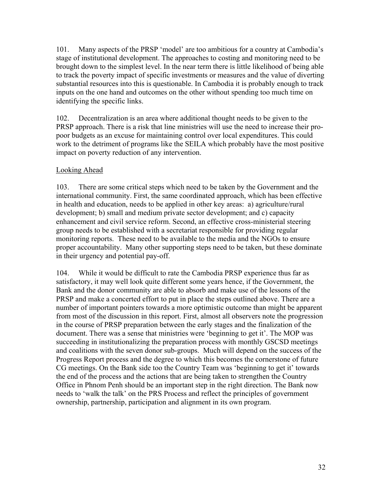101. Many aspects of the PRSP 'model' are too ambitious for a country at Cambodia's stage of institutional development. The approaches to costing and monitoring need to be brought down to the simplest level. In the near term there is little likelihood of being able to track the poverty impact of specific investments or measures and the value of diverting substantial resources into this is questionable. In Cambodia it is probably enough to track inputs on the one hand and outcomes on the other without spending too much time on identifying the specific links.

102. Decentralization is an area where additional thought needs to be given to the PRSP approach. There is a risk that line ministries will use the need to increase their propoor budgets as an excuse for maintaining control over local expenditures. This could work to the detriment of programs like the SEILA which probably have the most positive impact on poverty reduction of any intervention.

## Looking Ahead

103. There are some critical steps which need to be taken by the Government and the international community. First, the same coordinated approach, which has been effective in health and education, needs to be applied in other key areas: a) agriculture/rural development; b) small and medium private sector development; and c) capacity enhancement and civil service reform. Second, an effective cross-ministerial steering group needs to be established with a secretariat responsible for providing regular monitoring reports. These need to be available to the media and the NGOs to ensure proper accountability. Many other supporting steps need to be taken, but these dominate in their urgency and potential pay-off.

104. While it would be difficult to rate the Cambodia PRSP experience thus far as satisfactory, it may well look quite different some years hence, if the Government, the Bank and the donor community are able to absorb and make use of the lessons of the PRSP and make a concerted effort to put in place the steps outlined above. There are a number of important pointers towards a more optimistic outcome than might be apparent from most of the discussion in this report. First, almost all observers note the progression in the course of PRSP preparation between the early stages and the finalization of the document. There was a sense that ministries were 'beginning to get it'. The MOP was succeeding in institutionalizing the preparation process with monthly GSCSD meetings and coalitions with the seven donor sub-groups. Much will depend on the success of the Progress Report process and the degree to which this becomes the cornerstone of future CG meetings. On the Bank side too the Country Team was 'beginning to get it' towards the end of the process and the actions that are being taken to strengthen the Country Office in Phnom Penh should be an important step in the right direction. The Bank now needs to 'walk the talk' on the PRS Process and reflect the principles of government ownership, partnership, participation and alignment in its own program.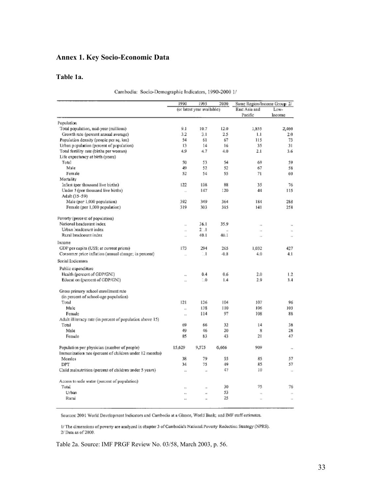## **Annex 1. Key Socio-Economic Data**

#### **Table 1a.**

|  | Cambodia: Socio-Demographic Indicators, 1990-2000 1/ |  |  |  |
|--|------------------------------------------------------|--|--|--|
|--|------------------------------------------------------|--|--|--|

|                                                           | 1990                     | 1995<br>2000               |                      | Same Region/Income Group 2/ |                                      |
|-----------------------------------------------------------|--------------------------|----------------------------|----------------------|-----------------------------|--------------------------------------|
|                                                           |                          | (or latest year available) |                      | East Asia and               | Low-                                 |
|                                                           |                          |                            |                      | Pacific                     | Income                               |
| Population                                                |                          |                            |                      |                             |                                      |
| Total population, mid-year (millions)                     | 9.1                      | 10.7                       | 12.0                 | 1,855                       | 2,460                                |
| Growth rate (percent annual average)                      | 3.2                      | 3.1                        | 2.5                  | 1.1                         | 2.0                                  |
| Population density (people per sq. km)                    | 54                       | 61                         | 67                   | 115                         | 73                                   |
| Urban population (percent of population)                  | 13                       | 14                         | 16                   | 35                          | 31                                   |
| Total fertility rate (births per woman)                   | 4,9                      | 4.7                        | 4.0                  | 2.1                         | 3.6                                  |
| Life expectancy at birth (years)                          |                          |                            |                      |                             |                                      |
| Total                                                     | 50                       | 53                         | 54                   | 69                          | 59                                   |
| Male                                                      | 49                       | 52                         | 52                   | 67                          | 58                                   |
| Female                                                    | 52                       | 54                         | 55                   | 71                          | 60                                   |
| Mortality                                                 |                          |                            |                      |                             |                                      |
| Infant (per thousand live births)                         | 122                      | 108                        | 88                   | 35                          | 76                                   |
| Under 5 (per thousand live births)                        | $\overline{\phantom{a}}$ | 147                        | I <sub>20</sub>      | 44                          | 115                                  |
| Adult (15-59)                                             |                          |                            |                      |                             |                                      |
| Male (per 1,000 population)                               | 392                      | 349                        | 364                  | 184                         | 288                                  |
| Female (per 1,000 population)                             | 319                      | 303                        | 315                  | 141                         | 258                                  |
| Poverty (percent of population)                           |                          |                            |                      |                             |                                      |
| National headcount index                                  | $\overline{a}$           | 36.1                       | 35.9                 | $\overline{1}$              |                                      |
| Urban headcount index                                     | $\sim$                   | $2 - 1$                    | $\ddot{\phantom{a}}$ | $\overline{1}$              | $\ddot{\phantom{a}}$<br>$\mathbf{r}$ |
| Rural headcount index                                     | $\overline{\phantom{a}}$ | 40.1                       | 40.1                 | $\overline{\phantom{a}}$    | $\ddot{\phantom{1}}$                 |
| Income                                                    |                          |                            |                      |                             |                                      |
| GDP per capita (US\$; at current prices)                  | 173                      | 294                        | 265                  | 1.032                       | 427                                  |
| Consumer price inflation (annual change; in percent)      | J.                       | $\mathbf{1}$               | $-0.8$               | 4.0                         | 4.1                                  |
|                                                           |                          |                            |                      |                             |                                      |
| Social Indicators                                         |                          |                            |                      |                             |                                      |
| Public expenditure                                        |                          |                            |                      |                             |                                      |
| Health (percent of GDP/GNI)                               | $\ddot{\phantom{a}}$     | 0.4                        | 0.6                  | 2.0                         | 1.2                                  |
| Education (percent of GDP/GNI)                            |                          | $\sim 0$                   | 1.4                  | 2.9                         | 3.4                                  |
| Gross primary school enrollment rate                      |                          |                            |                      |                             |                                      |
| (in percent of school-age population)                     |                          |                            |                      |                             |                                      |
| Total                                                     | 121                      | 126                        | 104                  | 107                         | 96                                   |
| Male                                                      | $\ddot{\phantom{a}}$     | 138                        | 110                  | 106                         | 103                                  |
| Female                                                    | i.                       | 114                        | 97                   | 108                         | 88                                   |
| Adult illiteracy rate (in percent of population above 15) |                          |                            |                      |                             |                                      |
| Total                                                     | 69                       | 66                         | 32                   | 4                           | 38                                   |
| Male                                                      | 49                       | 46                         | 20                   | 8                           | 28                                   |
| Female                                                    | 85                       | 83                         | 43                   | 21                          | 47                                   |
|                                                           |                          |                            |                      |                             |                                      |
| Population per physician (number of people)               | 15,629                   | 9,575                      | 6,666                | 909                         | $\ddot{\phantom{a}}$                 |
| Immunization rate (percent of children under 12 months)   |                          |                            |                      |                             |                                      |
| Measles                                                   | 38                       | 79                         | 55                   | 85                          | 57                                   |
| DPT                                                       | 34                       | 75                         | 49                   | 85                          | 57                                   |
| Child malnutrition (percent of children under 5 years)    | $\ddot{\phantom{a}}$     | $\ddot{\phantom{a}}$       | 47                   | 10                          | $\ddot{\phantom{a}}$                 |
| Access to safe water (percent of population)              |                          |                            |                      |                             |                                      |
| Total                                                     |                          | ×.                         | 30                   | 75                          | 76                                   |
| Urban                                                     | à.                       | ä,                         | 53                   | $\mathbf{r}$                | $\bar{a}$                            |
| Rural                                                     | à.                       | $\overline{\phantom{a}}$   | 25                   | $\overline{a}$              | $\overline{1}$                       |
|                                                           |                          |                            |                      |                             |                                      |

Sources: 2001 World Development Indicators and Cambodia at a Glance, World Bank; and IMF staff estimates.

I/The dimensions of poverty are analyzed in chapter 3 of Cambodia's National Poverty Reduction Strategy (NPRS). 2/ Data as of 2000.

Table 2a. Source: IMF PRGF Review No. 03/58, March 2003, p. 56.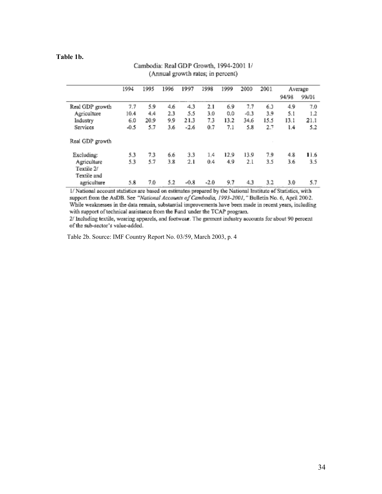#### **Table 1b.**

| Cambodia: Real GDP Growth, 1994-2001 1/ |  |
|-----------------------------------------|--|
| (Annual growth rates; in percent)       |  |

|                 | 1994   | 1995 | 1996 | 1997   | 1998   | 1999 | 2000   | 2001 | Average |       |
|-----------------|--------|------|------|--------|--------|------|--------|------|---------|-------|
|                 |        |      |      |        |        |      |        |      | 94/98   | 99.01 |
| Real GDP growth | 7.7    | 5.9  | 4.6  | $-4.3$ | 2.1    | 6.9  | 7.7    | 6.3  | 4.9     | 7.0   |
| Agriculture     | 10.4   | 4.4  | 2.3  | 5.5    | 3.0    | 0.0  | $-0.3$ | 3.9  | 5.1     | 1.2   |
| Industry        | 6.0    | 20.9 | 9.9  | 21.3   | 7.3    | 13.2 | 34.6   | 15.5 | 13.1    | 21.1  |
| Services        | $-0.5$ | 5.7  | 3.6  | $-2.6$ | 0.7    | 7.1  | 5.8    | 2.7  | 1.4     | 5.2   |
| Real GDP growth |        |      |      |        |        |      |        |      |         |       |
| Excluding:      | 5.3    | 7.3  | 6.6  | 3.3    | 1.4    | 12.9 | 13.9   | 7.9  | 4.8     | 11.6  |
| Agriculture     | 5.3    | 5.7  | 3.8  | 2.1    | 0.4    | 4.9  | 2.1    | 3.5  | 3.6     | 3.5   |
| Textile 2/      |        |      |      |        |        |      |        |      |         |       |
| Textile and     |        |      |      |        |        |      |        |      |         |       |
| agriculture     | 5.8    | 7.0  | 5.2  | $-0.8$ | $-2.0$ | 9.7  | 4.3    | 3.2  | 3.0     | 5.7   |

I/ National account statistics are based on estimates prepared by the National Institute of Statistics, with support from the AsDB. See "National Accounts of Cambodia, 1993-2001," Bulletin No. 6, April 2002. While weaknesses in the data remain, substantial improvements have been made in recent years, including with support of technical assistance from the Fund under the TCAP program.

2/ Including textile, wearing apparels, and footwear. The garment industry accounts for about 90 percent of the sub-sector's value-added.

Table 2b. Source: IMF Country Report No. 03/59, March 2003, p. 4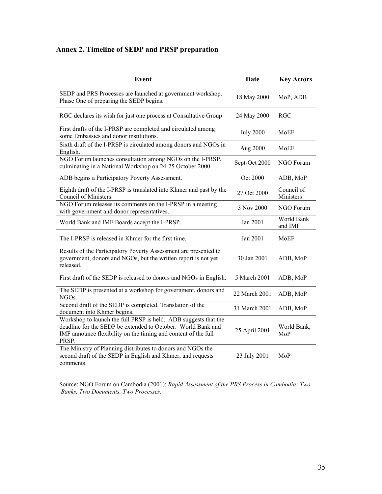# **Annex 2. Timeline of SEDP and PRSP preparation**

| <b>Event</b>                                                                                                                                                                                               | <b>Date</b>      | <b>Key Actors</b>       |
|------------------------------------------------------------------------------------------------------------------------------------------------------------------------------------------------------------|------------------|-------------------------|
| SEDP and PRS Processes are launched at government workshop.<br>Phase One of preparing the SEDP begins.                                                                                                     | 18 May 2000      | MoP, ADB                |
| RGC declares its wish for just one process at Consultative Group                                                                                                                                           | 24 May 2000      | <b>RGC</b>              |
| First drafts of the I-PRSP are completed and circulated among<br>some Embassies and donor institutions.                                                                                                    | <b>July 2000</b> | MoEF                    |
| Sixth draft of the I-PRSP is circulated among donors and NGOs in<br>English.                                                                                                                               | Aug 2000         | MoEF                    |
| NGO Forum launches consultation among NGOs on the I-PRSP,<br>culminating in a National Workshop on 24-25 October 2000.                                                                                     | Sept-Oct 2000    | NGO Forum               |
| ADB begins a Participatory Poverty Assessment.                                                                                                                                                             | Oct 2000         | ADB, MoP                |
| Eighth draft of the I-PRSP is translated into Khmer and past by the<br>Council of Ministers.                                                                                                               | 27 Oct 2000      | Council of<br>Ministers |
| NGO Forum releases its comments on the I-PRSP in a meeting<br>with government and donor representatives.                                                                                                   | 3 Nov 2000       | NGO Forum               |
| World Bank and IMF Boards accept the I-PRSP.                                                                                                                                                               | Jan 2001         | World Bank<br>and IMF   |
| The I-PRSP is released in Khmer for the first time.                                                                                                                                                        | Jan 2001         | MoEF                    |
| Results of the Participatory Poverty Assessment are presented to<br>government, donors and NGOs, but the written report is not yet<br>released.                                                            | 30 Jan 2001      | ADB, MoP                |
| First draft of the SEDP is released to donors and NGOs in English.                                                                                                                                         | 5 March 2001     | ADB, MoP                |
| The SEDP is presented at a workshop for government, donors and<br>NGO <sub>s.</sub>                                                                                                                        | 22 March 2001    | ADB, MoP                |
| Second draft of the SEDP is completed. Translation of the<br>document into Khmer begins.                                                                                                                   | 31 March 2001    | ADB, MoP                |
| Workshop to launch the full PRSP is held. ADB suggests that the<br>deadline for the SEDP be extended to October. World Bank and<br>IMF announce flexibility on the timing and content of the full<br>PRSP. | 25 April 2001    | World Bank,<br>MoP      |
| The Ministry of Planning distributes to donors and NGOs the<br>second draft of the SEDP in English and Khmer, and requests<br>comments.                                                                    | 23 July 2001     | MoP                     |

 Source: NGO Forum on Cambodia (2001): *Rapid Assessment of the PRS Process in Cambodia: Two Banks, Two Documents, Two Processes*.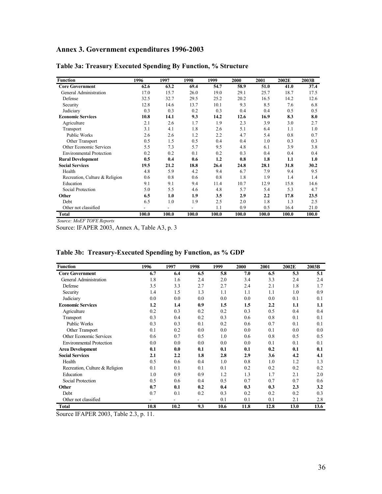## **Annex 3. Government expenditures 1996-2003**

| <b>Function</b>                 | 1996  | 1997  | 1998  | 1999  | 2000  | 2001  | 2002E | 2003B |
|---------------------------------|-------|-------|-------|-------|-------|-------|-------|-------|
| <b>Core Government</b>          | 62.6  | 63.2  | 69.4  | 54.7  | 58.9  | 51.0  | 41.0  | 37.4  |
| General Administration          | 17.0  | 15.7  | 26.0  | 19.0  | 29.1  | 25.7  | 18.7  | 17.5  |
| Defense                         | 32.5  | 32.7  | 29.5  | 25.2  | 20.2  | 16.5  | 14.2  | 12.6  |
| Security                        | 12.8  | 14.6  | 13.7  | 10.1  | 9.3   | 8.5   | 7.6   | 6.8   |
| Judiciary                       | 0.3   | 0.3   | 0.2   | 0.3   | 0.4   | 0.4   | 0.5   | 0.5   |
| <b>Economic Services</b>        | 10.8  | 14.1  | 9.3   | 14.2  | 12.6  | 16.9  | 8.3   | 8.0   |
| Agriculture                     | 2.1   | 2.6   | 1.7   | 1.9   | 2.3   | 3.9   | 3.0   | 2.7   |
| Transport                       | 3.1   | 4.1   | 1.8   | 2.6   | 5.1   | 6.4   | 1.1   | 1.0   |
| Public Works                    | 2.6   | 2.6   | 1.2   | 2.2   | 4.7   | 5.4   | 0.8   | 0.7   |
| Other Transport                 | 0.5   | 1.5   | 0.5   | 0.4   | 0.4   | 1.0   | 0.3   | 0.3   |
| Other Economic Services         | 5.5   | 7.3   | 5.7   | 9.5   | 4.8   | 6.1   | 3.9   | 3.8   |
| <b>Environmental Protection</b> | 0.2   | 0.2   | 0.1   | 0.2   | 0.3   | 0.4   | 0.4   | 0.4   |
| <b>Rural Development</b>        | 0.5   | 0.4   | 0.6   | 1.2   | 0.8   | 1.8   | 1.1   | 1.0   |
| <b>Social Services</b>          | 19.5  | 21.2  | 18.8  | 26.4  | 24.8  | 28.1  | 31.8  | 30.2  |
| Health                          | 4.8   | 5.9   | 4.2   | 9.4   | 6.7   | 7.9   | 9.4   | 9.5   |
| Recreation, Culture & Religion  | 0.6   | 0.8   | 0.6   | 0.8   | 1.8   | 1.9   | 1.4   | 1.4   |
| Education                       | 9.1   | 9.1   | 9.4   | 11.4  | 10.7  | 12.9  | 15.8  | 14.6  |
| Social Protection               | 5.0   | 5.5   | 4.6   | 4.8   | 5.7   | 5.4   | 5.3   | 4.7   |
| Other                           | 6.5   | 1.0   | 1.9   | 3.5   | 2.9   | 2.2   | 17.8  | 23.5  |
| Debt                            | 6.5   | 1.0   | 1.9   | 2.5   | 2.0   | 1.8   | 1.3   | 2.5   |
| Other not classified            |       |       |       | 1.1   | 0.9   | 0.5   | 16.4  | 21.0  |
| <b>Total</b>                    | 100.0 | 100.0 | 100.0 | 100.0 | 100.0 | 100.0 | 100.0 | 100.0 |

### **Table 3a: Treasury Executed Spending By Function, % Structure**

*Source: MoEF TOFE Reports*

Source: IFAPER 2003, Annex A, Table A3, p. 3

| <b>Function</b>                 | 1996 | 1997                     | 1998                     | 1999 | 2000 | 2001 | 2002E | 2003B |
|---------------------------------|------|--------------------------|--------------------------|------|------|------|-------|-------|
| <b>Core Government</b>          | 6.7  | 6.4                      | 6.5                      | 5.8  | 7.0  | 6.5  | 5.3   | 5.1   |
| General Administration          | 1.8  | 1.6                      | 2.4                      | 2.0  | 3.4  | 3.3  | 2.4   | 2.4   |
| Defense                         | 3.5  | 3.3                      | 2.7                      | 2.7  | 2.4  | 2.1  | 1.8   | 1.7   |
| Security                        | 1.4  | 1.5                      | 1.3                      | 1.1  | 1.1  | 1.1  | 1.0   | 0.9   |
| Judiciary                       | 0.0  | 0.0                      | 0.0                      | 0.0  | 0.0  | 0.0  | 0.1   | 0.1   |
| <b>Economic Services</b>        | 1.2  | 1.4                      | 0.9                      | 1.5  | 1.5  | 2.2  | 1.1   | 1.1   |
| Agriculture                     | 0.2  | 0.3                      | 0.2                      | 0.2  | 0.3  | 0.5  | 0.4   | 0.4   |
| Transport                       | 0.3  | 0.4                      | 0.2                      | 0.3  | 0.6  | 0.8  | 0.1   | 0.1   |
| <b>Public Works</b>             | 0.3  | 0.3                      | 0.1                      | 0.2  | 0.6  | 0.7  | 0.1   | 0.1   |
| Other Transport                 | 0.1  | 0.2                      | 0.0                      | 0.0  | 0.0  | 0.1  | 0.0   | 0.0   |
| <b>Other Economic Services</b>  | 0.6  | 0.7                      | 0.5                      | 1.0  | 0.6  | 0.8  | 0.5   | 0.5   |
| <b>Environmental Protection</b> | 0.0  | 0.0                      | 0.0                      | 0.0  | 0.0  | 0.1  | 0.1   | 0.1   |
| <b>Area Development</b>         | 0.1  | 0.0                      | 0.1                      | 0.1  | 0.1  | 0.2  | 0.1   | 0.1   |
| <b>Social Services</b>          | 2.1  | 2.2                      | 1.8                      | 2.8  | 2.9  | 3.6  | 4.2   | 4.1   |
| Health                          | 0.5  | 0.6                      | 0.4                      | 1.0  | 0.8  | 1.0  | 1.2   | 1.3   |
| Recreation, Culture & Religion  | 0.1  | 0.1                      | 0.1                      | 0.1  | 0.2  | 0.2  | 0.2   | 0.2   |
| Education                       | 1.0  | 0.9                      | 0.9                      | 1.2  | 1.3  | 1.7  | 2.1   | 2.0   |
| Social Protection               | 0.5  | 0.6                      | 0.4                      | 0.5  | 0.7  | 0.7  | 0.7   | 0.6   |
| Other                           | 0.7  | 0.1                      | 0.2                      | 0.4  | 0.3  | 0.3  | 2.3   | 3.2   |
| Debt                            | 0.7  | 0.1                      | 0.2                      | 0.3  | 0.2  | 0.2  | 0.2   | 0.3   |
| Other not classified            | ۰    | $\overline{\phantom{a}}$ | $\overline{\phantom{a}}$ | 0.1  | 0.1  | 0.1  | 2.1   | 2.8   |
| <b>Total</b>                    | 10.8 | 10.2                     | 9.3                      | 10.6 | 11.8 | 12.8 | 13.0  | 13.6  |

### **Table 3b: Treasury-Executed Spending by Function, as % GDP**

Source IFAPER 2003, Table 2.3, p. 11.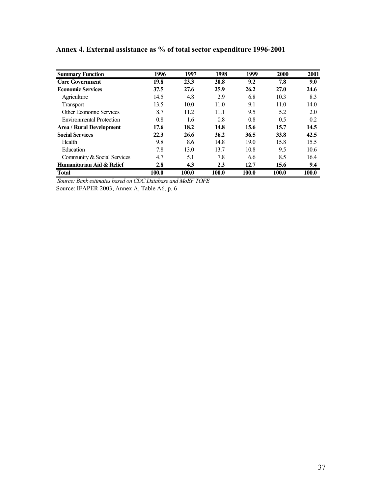| <b>Summary Function</b>         | 1996  | 1997  | 1998  | 1999  | 2000  | 2001  |
|---------------------------------|-------|-------|-------|-------|-------|-------|
| <b>Core Government</b>          | 19.8  | 23.3  | 20.8  | 9.2   | 7.8   | 9.0   |
| <b>Economic Services</b>        | 37.5  | 27.6  | 25.9  | 26.2  | 27.0  | 24.6  |
| Agriculture                     | 14.5  | 4.8   | 2.9   | 6.8   | 10.3  | 8.3   |
| <b>Transport</b>                | 13.5  | 10.0  | 11.0  | 9.1   | 11.0  | 14.0  |
| <b>Other Economic Services</b>  | 8.7   | 11.2  | 11.1  | 9.5   | 5.2   | 2.0   |
| <b>Environmental Protection</b> | 0.8   | 1.6   | 0.8   | 0.8   | 0.5   | 0.2   |
| Area / Rural Development        | 17.6  | 18.2  | 14.8  | 15.6  | 15.7  | 14.5  |
| <b>Social Services</b>          | 22.3  | 26.6  | 36.2  | 36.5  | 33.8  | 42.5  |
| Health                          | 9.8   | 8.6   | 14.8  | 19.0  | 15.8  | 15.5  |
| Education                       | 7.8   | 13.0  | 13.7  | 10.8  | 9.5   | 10.6  |
| Community & Social Services     | 4.7   | 5.1   | 7.8   | 6.6   | 8.5   | 16.4  |
| Humanitarian Aid & Relief       | 2.8   | 4.3   | 2.3   | 12.7  | 15.6  | 9.4   |
| <b>Total</b>                    | 100.0 | 100.0 | 100.0 | 100.0 | 100.0 | 100.0 |

**Annex 4. External assistance as % of total sector expenditure 1996-2001** 

*Source: Bank estimates based on CDC Database and MoEF TOFE* 

Source: IFAPER 2003, Annex A, Table A6, p. 6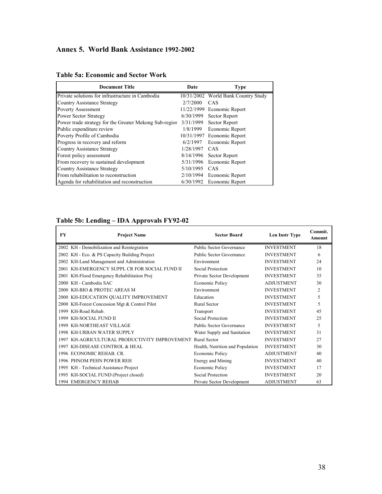# **Annex 5. World Bank Assistance 1992-2002**

| <b>Document Title</b>                                  | Date       | <b>Type</b>              |
|--------------------------------------------------------|------------|--------------------------|
| Private solutions for infrastructure in Cambodia       | 10/31/2002 | World Bank Country Study |
| Country Assistance Strategy                            | 2/7/2000   | CAS                      |
| <b>Poverty Assessment</b>                              | 11/22/1999 | Economic Report          |
| <b>Power Sector Strategy</b>                           | 6/30/1999  | Sector Report            |
| Power trade strategy for the Greater Mekong Sub-regior | 3/31/1999  | Sector Report            |
| Public expenditure review                              | 1/8/1999   | Economic Report          |
| Poverty Profile of Cambodia                            | 10/31/1997 | Economic Report          |
| Progress in recovery and reform                        | 6/2/1997   | Economic Report          |
| <b>Country Assistance Strategy</b>                     | 1/28/1997  | CAS                      |
| Forest policy assessment                               | 8/14/1996  | Sector Report            |
| From recovery to sustained development                 | 5/31/1996  | Economic Report          |
| Country Assistance Strategy                            | 5/10/1995  | CAS                      |
| From rehabilitation to reconstruction                  | 2/10/1994  | Economic Report          |
| Agenda for rehabilitation and reconstruction           | 6/30/1992  | Economic Report          |

#### **Table 5a: Economic and Sector Work**

## **Table 5b: Lending – IDA Approvals FY92-02**

| FY   | <b>Project Name</b>                                   | <b>Sector Board</b>              | Len Instr Type    | Commit.<br>Amount |
|------|-------------------------------------------------------|----------------------------------|-------------------|-------------------|
|      | 2002 KH - Demobilization and Reintegration            | Public Sector Governance         | <b>INVESTMENT</b> | 18                |
|      | 2002 KH - Eco. & PS Capacity Building Project         | Public Sector Governance         | <b>INVESTMENT</b> | 6                 |
|      | 2002 KH-Land Management and Administration            | Environment                      | <b>INVESTMENT</b> | 24                |
|      | 2001 KH-EMERGENCY SUPPL CR FOR SOCIAL FUND II         | Social Protection                | <b>INVESTMENT</b> | 10                |
|      | 2001 KH-Flood Emergency Rehabilitation Proj           | Private Sector Development       | <b>INVESTMENT</b> | 35                |
|      | 2000 KH - Cambodia SAC                                | Economic Policy                  | <b>ADJUSTMENT</b> | 30                |
|      | 2000 KH-BIO & PROTEC AREAS M                          | Environment                      | <b>INVESTMENT</b> | $\overline{c}$    |
|      | 2000 KH-EDUCATION QUALITY IMPROVEMENT                 | Education                        | <b>INVESTMENT</b> | 5                 |
|      | 2000 KH-Forest Concession Mgt & Control Pilot         | <b>Rural Sector</b>              | <b>INVESTMENT</b> | 5                 |
| 1999 | KH-Road Rehab.                                        | Transport                        | <b>INVESTMENT</b> | 45                |
|      | 1999 KH-SOCIAL FUND II                                | Social Protection                | <b>INVESTMENT</b> | 25                |
| 1999 | KH-NORTHEAST VILLAGE                                  | Public Sector Governance         | <b>INVESTMENT</b> | 5                 |
|      | 1998 KH-URBAN WATER SUPPLY                            | Water Supply and Sanitation      | <b>INVESTMENT</b> | 31                |
| 1997 | KH-AGRICULTURAL PRODUCTIVITY IMPROVEMENT Rural Sector |                                  | <b>INVESTMENT</b> | 27                |
| 1997 | KH-DISEASE CONTROL & HEAL                             | Health, Nutrition and Population | <b>INVESTMENT</b> | 30                |
|      | 1996 ECONOMIC REHAB, CR.                              | <b>Economic Policy</b>           | <b>ADJUSTMENT</b> | 40                |
|      | 1996 PHNOM PEHN POWER REH                             | Energy and Mining                | <b>INVESTMENT</b> | 40                |
|      | 1995 KH - Technical Assistance Project                | Economic Policy                  | <b>INVESTMENT</b> | 17                |
|      | 1995 KH-SOCIAL FUND (Project closed)                  | Social Protection                | <b>INVESTMENT</b> | 20                |
|      | 1994 EMERGENCY REHAB                                  | Private Sector Development       | <b>ADJUSTMENT</b> | 63                |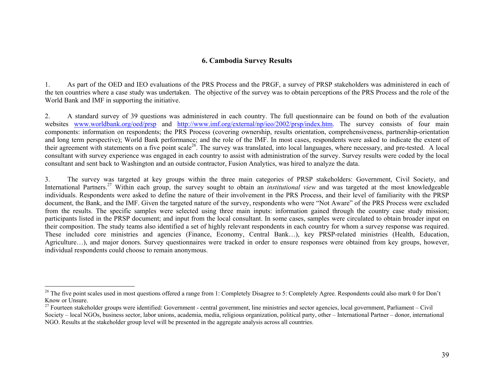#### **6. Cambodia Survey Results**

1. As part of the OED and IEO evaluations of the PRS Process and the PRGF, a survey of PRSP stakeholders was administered in each of the ten countries where a case study was undertaken. The objective of the survey was to obtain perceptions of the PRS Process and the role of the World Bank and IMF in supporting the initiative.

2. A standard survey of 39 questions was administered in each country. The full questionnaire can be found on both of the evaluation websites www.worldbank.org/oed/prsp and http://www.imf.org/external/np/ieo/2002/prsp/index.htm. The survey consists of four main components: information on respondents; the PRS Process (covering ownership, results orientation, comprehensiveness, partnership-orientation and long term perspective); World Bank performance; and the role of the IMF. In most cases, respondents were asked to indicate the extent of their agreement with statements on a five point scale<sup>26</sup>. The survey was translated, into local languages, where necessary, and pre-tested. A local consultant with survey experience was engaged in each country to assist with administration of the survey. Survey results were coded by the local consultant and sent back to Washington and an outside contractor, Fusion Analytics, was hired to analyze the data.

3. The survey was targeted at key groups within the three main categories of PRSP stakeholders: Government, Civil Society, and International Partners.27 Within each group, the survey sought to obtain an *institutional view* and was targeted at the most knowledgeable individuals. Respondents were asked to define the nature of their involvement in the PRS Process, and their level of familiarity with the PRSP document, the Bank, and the IMF. Given the targeted nature of the survey, respondents who were "Not Aware" of the PRS Process were excluded from the results. The specific samples were selected using three main inputs: information gained through the country case study mission; participants listed in the PRSP document; and input from the local consultant. In some cases, samples were circulated to obtain broader input on their composition. The study teams also identified a set of highly relevant respondents in each country for whom a survey response was required. These included core ministries and agencies (Finance, Economy, Central Bank…), key PRSP-related ministries (Health, Education, Agriculture…), and major donors. Survey questionnaires were tracked in order to ensure responses were obtained from key groups, however, individual respondents could choose to remain anonymous.

<sup>&</sup>lt;sup>26</sup> The five point scales used in most questions offered a range from 1: Completely Disagree to 5: Completely Agree. Respondents could also mark 0 for Don't Know or Unsure.

 $^{27}$  Fourteen stakeholder groups were identified: Government - central government, line ministries and sector agencies, local government, Parliament – Civil Society – local NGOs, business sector, labor unions, academia, media, religious organization, political party, other – International Partner – donor, international NGO. Results at the stakeholder group level will be presented in the aggregate analysis across all countries.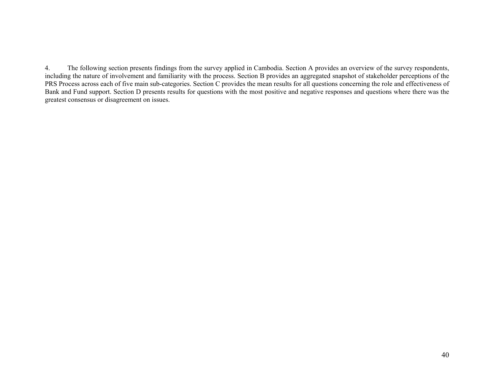4. The following section presents findings from the survey applied in Cambodia. Section A provides an overview of the survey respondents, including the nature of involvement and familiarity with the process. Section B provides an aggregated snapshot of stakeholder perceptions of the PRS Process across each of five main sub-categories. Section C provides the mean results for all questions concerning the role and effectiveness of Bank and Fund support. Section D presents results for questions with the most positive and negative responses and questions where there was the greatest consensus or disagreement on issues.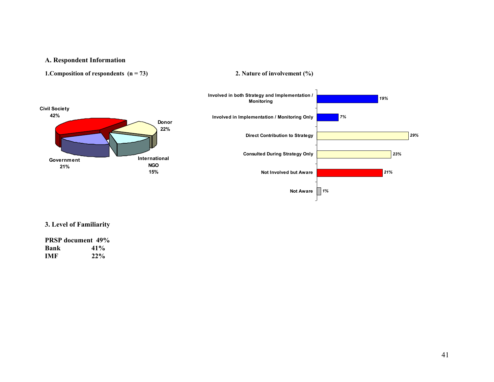#### **A. Respondent Information**

```
1. Composition of respondents (n = 73) 2. Nature of involvement (%)
```


#### **3. Level of Familiarity**

**PRSP document 49% Bank 41% IMF 22%**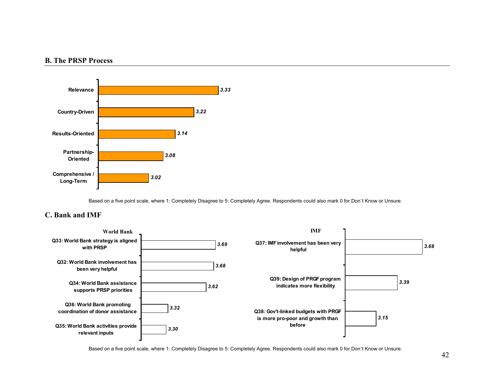#### **B. The PRSP Process**



Based on a five point scale, where 1: Completely Disagree to 5: Completely Agree. Respondents could also mark 0 for Don't Know or Unsure.

### **C. Bank and IMF**



Based on a five point scale, where 1: Completely Disagree to 5: Completely Agree. Respondents could also mark 0 for Don't Know or Unsure.